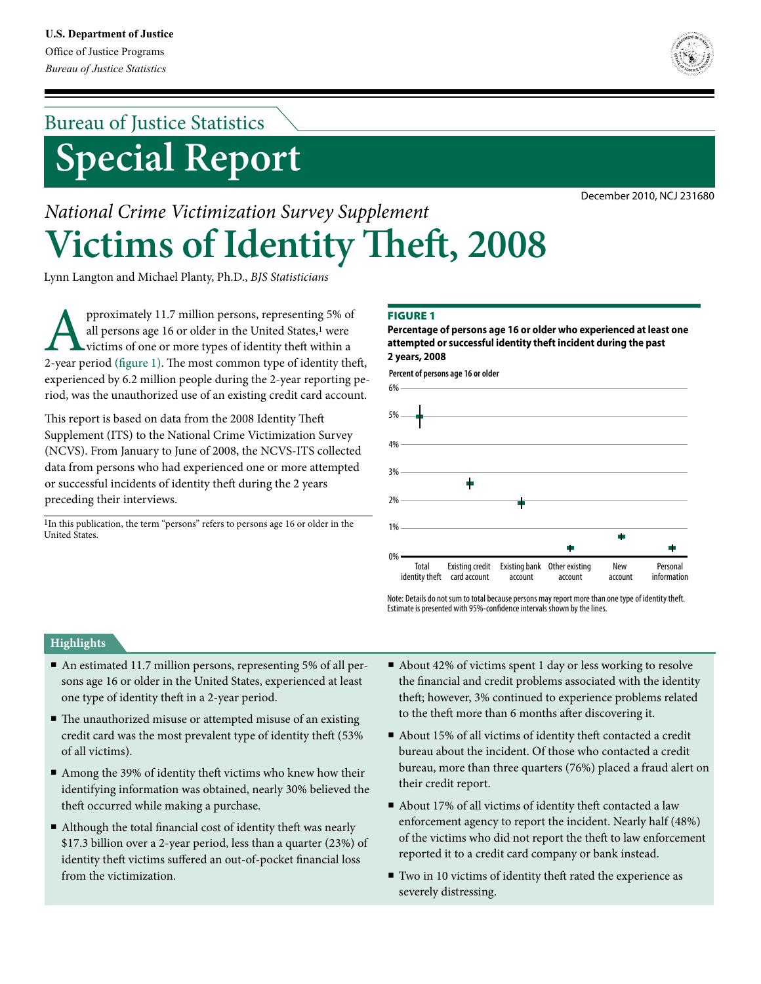# **Special Report** Bureau of Justice Statistics



December 2010, NCJ 231680

# *National Crime Victimization Survey Supplement* **Victims of Identity Theft, 2008**

Lynn Langton and Michael Planty, Ph.D., *BJS Statisticians*

pproximately 11.7 million persons, representing 5% of all persons age 16 or older in the United States,<sup>1</sup> were victims of one or more types of identity theft within a 2-year period (figure 1). The most common type of iden all persons age 16 or older in the United States,<sup>1</sup> were victims of one or more types of identity theft within a experienced by 6.2 million people during the 2-year reporting period, was the unauthorized use of an existing credit card account.

This report is based on data from the 2008 Identity Theft Supplement (ITS) to the National Crime Victimization Survey (NCVS). From January to June of 2008, the NCVS-ITS collected data from persons who had experienced one or more attempted or successful incidents of identity theft during the 2 years preceding their interviews.

 $^{1}\mathrm{In}$  this publication, the term "persons" refers to persons age 16 or older in the United States.

## **FIGURE 1**

**Percentage of persons age 16 or older who experienced at least one attempted or successful identity theft incident during the past 2 years, 2008**





Note: Details do not sum to total because persons may report more than one type of identity theft. Estimate is presented with 95%-confidence intervals shown by the lines.

## **Highlights**

- An estimated 11.7 million persons, representing 5% of all persons age 16 or older in the United States, experienced at least one type of identity theft in a 2-year period.
- The unauthorized misuse or attempted misuse of an existing credit card was the most prevalent type of identity theft (53% of all victims).
- Among the 39% of identity theft victims who knew how their identifying information was obtained, nearly 30% believed the theft occurred while making a purchase.
- Although the total financial cost of identity theft was nearly \$17.3 billion over a 2-year period, less than a quarter (23%) of identity theft victims suffered an out-of-pocket financial loss from the victimization.
- About 42% of victims spent 1 day or less working to resolve the financial and credit problems associated with the identity theft; however, 3% continued to experience problems related to the theft more than 6 months after discovering it.
- About 15% of all victims of identity theft contacted a credit bureau about the incident. Of those who contacted a credit bureau, more than three quarters (76%) placed a fraud alert on their credit report.
- About 17% of all victims of identity theft contacted a law enforcement agency to report the incident. Nearly half (48%) of the victims who did not report the theft to law enforcement reported it to a credit card company or bank instead.
- Two in 10 victims of identity theft rated the experience as severely distressing.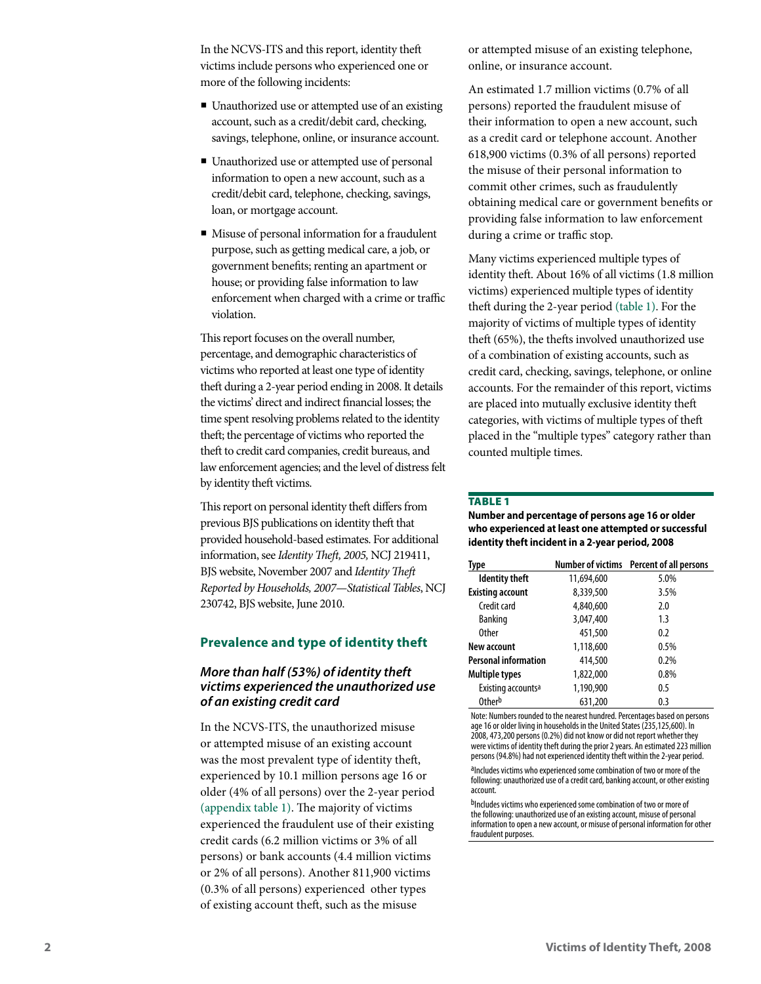In the NCVS-ITS and this report, identity theft victims include persons who experienced one or more of the following incidents:

- Unauthorized use or attempted use of an existing account, such as a credit/debit card, checking, savings, telephone, online, or insurance account.
- Unauthorized use or attempted use of personal information to open a new account, such as a credit/debit card, telephone, checking, savings, loan, or mortgage account.
- Misuse of personal information for a fraudulent purpose, such as getting medical care, a job, or government benefits; renting an apartment or house; or providing false information to law enforcement when charged with a crime or traffic violation.

This report focuses on the overall number, percentage, and demographic characteristics of victims who reported at least one type of identity theft during a 2-year period ending in 2008. It details the victims' direct and indirect financial losses; the time spent resolving problems related to the identity theft; the percentage of victims who reported the theft to credit card companies, credit bureaus, and law enforcement agencies; and the level of distress felt by identity theft victims.

This report on personal identity theft differs from previous BJS publications on identity theft that provided household-based estimates. For additional information, see *Identity Theft, 2005,* NCJ 219411, BJS website, November 2007 and *IdentityTheft Reported by Households, 2007—Statistical Tables*, NCJ 230742, BJS website, June 2010.

## **Prevalence and type of identity theft**

## *More than half (53%) of identity theft victims experienced the unauthorized use of an existing credit card*

In the NCVS-ITS, the unauthorized misuse or attempted misuse of an existing account was the most prevalent type of identity theft, experienced by 10.1 million persons age 16 or older (4% of all persons) over the 2-year period (appendix table 1). The majority of victims experienced the fraudulent use of their existing credit cards (6.2 million victims or 3% of all persons) or bank accounts (4.4 million victims or 2% of all persons). Another 811,900 victims (0.3% of all persons) experienced other types of existing account theft, such as the misuse

or attempted misuse of an existing telephone, online, or insurance account.

An estimated 1.7 million victims (0.7% of all persons) reported the fraudulent misuse of their information to open a new account, such as a credit card or telephone account. Another 618,900 victims (0.3% of all persons) reported the misuse of their personal information to commit other crimes, such as fraudulently obtaining medical care or government benefits or providing false information to law enforcement during a crime or traffic stop.

Many victims experienced multiple types of identity theft. About 16% of all victims (1.8 million victims) experienced multiple types of identity theft during the 2-year period (table 1). For the majority of victims of multiple types of identity theft (65%), the thefts involved unauthorized use of a combination of existing accounts, such as credit card, checking, savings, telephone, or online accounts. For the remainder of this report, victims are placed into mutually exclusive identity theft categories, with victims of multiple types of theft placed in the "multiple types" category rather than counted multiple times.

#### **TABLE 1**

**Number and percentage of persons age 16 or older who experienced at least one attempted or successful identity theft incident in a 2-year period, 2008**

| Type                           |            | Number of victims Percent of all persons |
|--------------------------------|------------|------------------------------------------|
| <b>Identity theft</b>          | 11,694,600 | 5.0%                                     |
| <b>Existing account</b>        | 8,339,500  | 3.5%                                     |
| Credit card                    | 4,840,600  | 2.0                                      |
| <b>Banking</b>                 | 3,047,400  | 1.3                                      |
| <b>Other</b>                   | 451,500    | 0.2                                      |
| New account                    | 1,118,600  | 0.5%                                     |
| <b>Personal information</b>    | 414,500    | 0.2%                                     |
| <b>Multiple types</b>          | 1,822,000  | 0.8%                                     |
| Existing accounts <sup>a</sup> | 1,190,900  | 0.5                                      |
| 0ther <sup>b</sup>             | 631,200    | 0.3                                      |

Note: Numbers rounded to the nearest hundred. Percentages based on persons age 16 or older living in households in the United States (235,125,600). In 2008, 473,200 persons (0.2%) did not know or did not report whether they were victims of identity theft during the prior 2 years. An estimated 223 million persons (94.8%) had not experienced identity theft within the 2-year period.

aIncludes victims who experienced some combination of two or more of the following: unauthorized use of a credit card, banking account, or other existing<br>account.

bIncludes victims who experienced some combination of two or more of the following: unauthorized use of an existing account, misuse of personal information to open a new account, or misuse of personal information for other fraudulent purposes.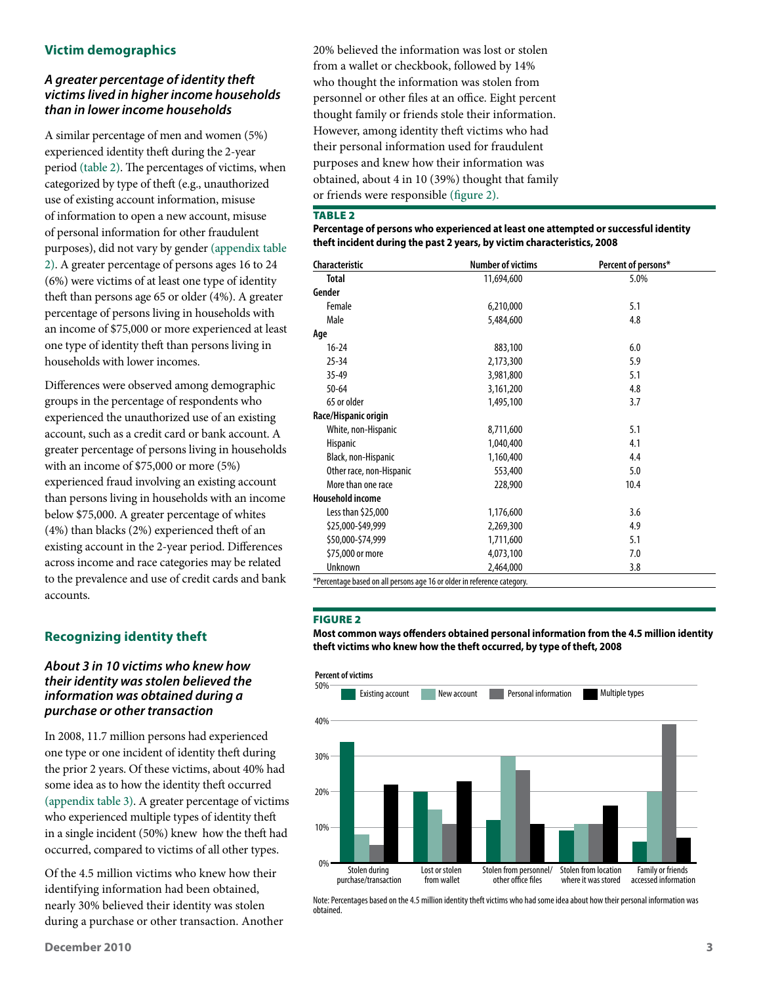## **Victim demographics**

## *A greater percentage of identity theft victims lived in higher income households than in lower income households*

A similar percentage of men and women (5%) experienced identity theft during the 2-year period (table 2). The percentages of victims, when categorized by type of theft (e.g., unauthorized use of existing account information, misuse of information to open a new account, misuse of personal information for other fraudulent purposes), did not vary by gender (appendix table 2). A greater percentage of persons ages 16 to 24 (6%) were victims of at least one type of identity theft than persons age 65 or older (4%). A greater percentage of persons living in households with an income of \$75,000 or more experienced at least one type of identity theft than persons living in households with lower incomes.

Differences were observed among demographic groups in the percentage of respondents who experienced the unauthorized use of an existing account, such as a credit card or bank account. A greater percentage of persons living in households with an income of \$75,000 or more (5%) experienced fraud involving an existing account than persons living in households with an income below \$75,000. A greater percentage of whites (4%) than blacks (2%) experienced theft of an existing account in the 2-year period. Differences across income and race categories may be related to the prevalence and use of credit cards and bank accounts.

## **Recognizing identity theft**

## *About 3 in 10 victims who knew how their identity was stolen believed the information was obtained during a purchase or other transaction*

In 2008, 11.7 million persons had experienced one type or one incident of identity theft during the prior 2 years. Of these victims, about 40% had some idea as to how the identity theft occurred (appendix table 3). A greater percentage of victims who experienced multiple types of identity theft in a single incident (50%) knew how the theft had occurred, compared to victims of all other types.

Of the 4.5 million victims who knew how their identifying information had been obtained, nearly 30% believed their identity was stolen during a purchase or other transaction. Another 20% believed the information was lost or stolen from a wallet or checkbook, followed by 14% who thought the information was stolen from personnel or other files at an office. Eight percent thought family or friends stole their information. However, among identity theft victims who had their personal information used for fraudulent purposes and knew how their information was obtained, about 4 in 10 (39%) thought that family or friends were responsible (figure 2).

#### **TABLE 2**

#### **Percentage of persons who experienced at least one attempted or successful identity theft incident during the past 2 years, by victim characteristics, 2008**

| <b>Characteristic</b>    | <b>Number of victims</b> | Percent of persons* |
|--------------------------|--------------------------|---------------------|
| <b>Total</b>             | 11,694,600               | 5.0%                |
| Gender                   |                          |                     |
| Female                   | 6,210,000                | 5.1                 |
| Male                     | 5,484,600                | 4.8                 |
| Age                      |                          |                     |
| $16 - 24$                | 883,100                  | 6.0                 |
| $25 - 34$                | 2,173,300                | 5.9                 |
| $35 - 49$                | 3,981,800                | 5.1                 |
| $50 - 64$                | 3,161,200                | 4.8                 |
| 65 or older              | 1,495,100                | 3.7                 |
| Race/Hispanic origin     |                          |                     |
| White, non-Hispanic      | 8,711,600                | 5.1                 |
| Hispanic                 | 1,040,400                | 4.1                 |
| Black, non-Hispanic      | 1,160,400                | 4.4                 |
| Other race, non-Hispanic | 553,400                  | 5.0                 |
| More than one race       | 228,900                  | 10.4                |
| <b>Household income</b>  |                          |                     |
| Less than \$25,000       | 1,176,600                | 3.6                 |
| \$25,000-\$49,999        | 2,269,300                | 4.9                 |
| \$50,000-\$74,999        | 1,711,600                | 5.1                 |
| \$75,000 or more         | 4,073,100                | 7.0                 |
| Unknown                  | 2,464,000                | 3.8                 |

\*Percentage based on all persons age 16 or older in reference category.

#### Figure 2

**Most common ways offenders obtained personal information from the 4.5 million identity theft victims who knew how the theft occurred, by type of theft, 2008**



Note: Percentages based on the 4.5 million identity theft victims who had some idea about how their personal information was obtained.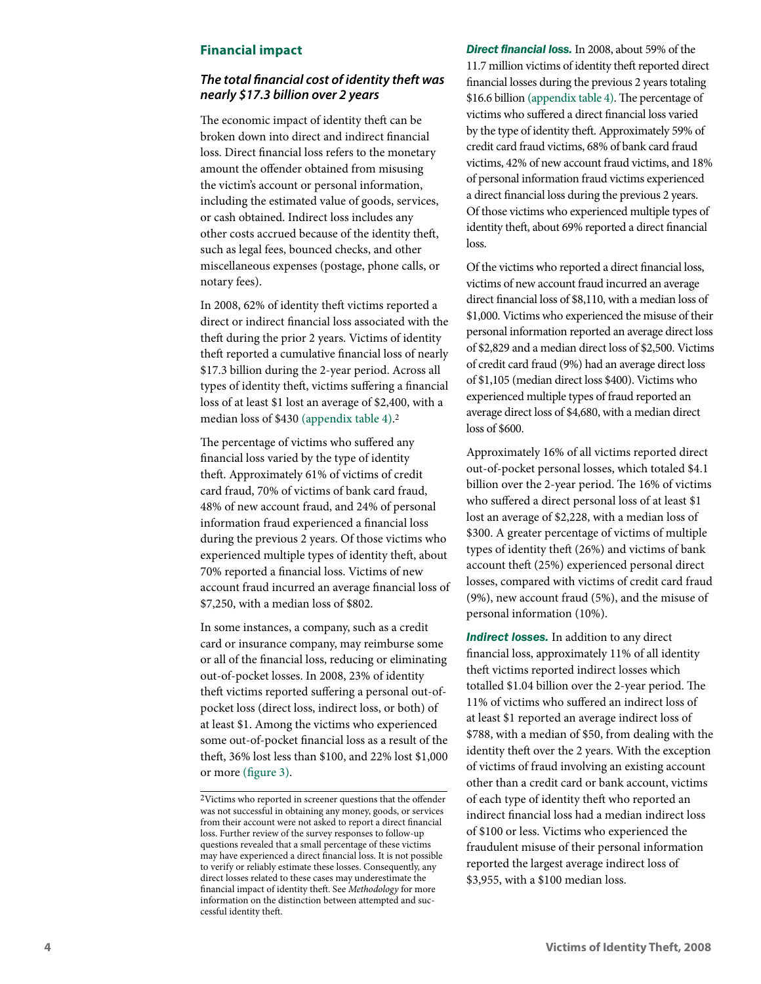## **Financial impact**

## *The total financial cost of identity theft was nearly \$17.3 billion over 2 years*

The economic impact of identity theft can be broken down into direct and indirect financial loss. Direct financial loss refers to the monetary amount the offender obtained from misusing the victim's account or personal information, including the estimated value of goods, services, or cash obtained. Indirect loss includes any other costs accrued because of the identity theft, such as legal fees, bounced checks, and other miscellaneous expenses (postage, phone calls, or notary fees).

In 2008, 62% of identity theft victims reported a direct or indirect financial loss associated with the theft during the prior 2 years. Victims of identity theft reported a cumulative financial loss of nearly \$17.3 billion during the 2-year period. Across all types of identity theft, victims suffering a financial loss of at least \$1 lost an average of \$2,400, with a median loss of \$430 (appendix table 4) . 2

The percentage of victims who suffered any financial loss varied by the type of identity theft. Approximately 61% of victims of credit card fraud, 70% of victims of bank card fraud, 48% of new account fraud, and 24% of personal information fraud experienced a financial loss during the previous 2 years. Of those victims who experienced multiple types of identity theft, about 70% reported a financial loss. Victims of new account fraud incurred an average financial loss of \$7,250, with a median loss of \$802.

In some instances, a company, such as a credit card or insurance company, may reimburse some or all of the financial loss, reducing or eliminating out-of-pocket losses. In 2008, 23% of identity theft victims reported suffering a personal out-ofpocket loss (direct loss, indirect loss, or both) of at least \$1. Among the victims who experienced some out-of-pocket financial loss as a result of the theft, 36% lost less than \$100, and 22% lost \$1,000 or more (figure 3) .

*Direct financial loss.* In 2008, about 59% of the 11.7 million victims of identity theft reported direct financial losses during the previous 2 years totaling \$16.6 billion (appendix table 4). The percentage of victims who suffered a direct financial loss varied by the type of identity theft. Approximately 59% of credit card fraud victims, 68% of bank card fraud victims, 42% of new account fraud victims, and 18% of personal information fraud victims experienced a direct financial loss during the previous 2 years. Of those victims who experienced multiple types of identity theft, about 69% reported a direct financial loss.

Of the victims who reported a direct financial loss, victims of new account fraud incurred an average direct financial loss of \$8,110, with a median loss of \$1,000. Victims who experienced the misuse of their personal information reported an average direct loss of \$2,829 and a median direct loss of \$2,500. Victims of credit card fraud (9%) had an average direct loss of \$1,105 (median direct loss \$400). Victims who experienced multiple types of fraud reported an average direct loss of \$4,680, with a median direct loss of \$600.

Approximately 16% of all victims reported direct out-of-pocket personal losses, which totaled \$4.1 billion over the 2-year period. The 16% of victims who suffered a direct personal loss of at least \$1 lost an average of \$2,228, with a median loss of \$300. A greater percentage of victims of multiple types of identity theft (26%) and victims of bank account theft (25%) experienced personal direct losses, compared with victims of credit card fraud (9%), new account fraud (5%), and the misuse of personal information (10%).

*Indirect losses.* In addition to any direct financial loss, approximately 11% of all identity theft victims reported indirect losses which totalled \$1.04 billion over the 2-year period. The 11% of victims who suffered an indirect loss of at least \$1 reported an average indirect loss of \$788, with a median of \$50, from dealing with the identity theft over the 2 years. With the exception of victims of fraud involving an existing account other than a credit card or bank account, victims of each type of identity theft who reported an indirect financial loss had a median indirect loss of \$100 or less. Victims who experienced the fraudulent misuse of their personal information reported the largest average indirect loss of \$3,955, with a \$100 median loss.

<sup>2</sup>Victims who reported in screener questions that the offender was not successful in obtaining any money, goods, or services from their account were not asked to report a direct financial loss. Further review of the survey responses to follow-up questions revealed that a small percentage of these victims may have experienced a direct financial loss. It is not possible to verify or reliably estimate these losses. Consequently, any direct losses related to these cases may underestimate the financial impact of identity theft. See *Methodology* for more information on the distinction between attempted and suc cessful identity theft.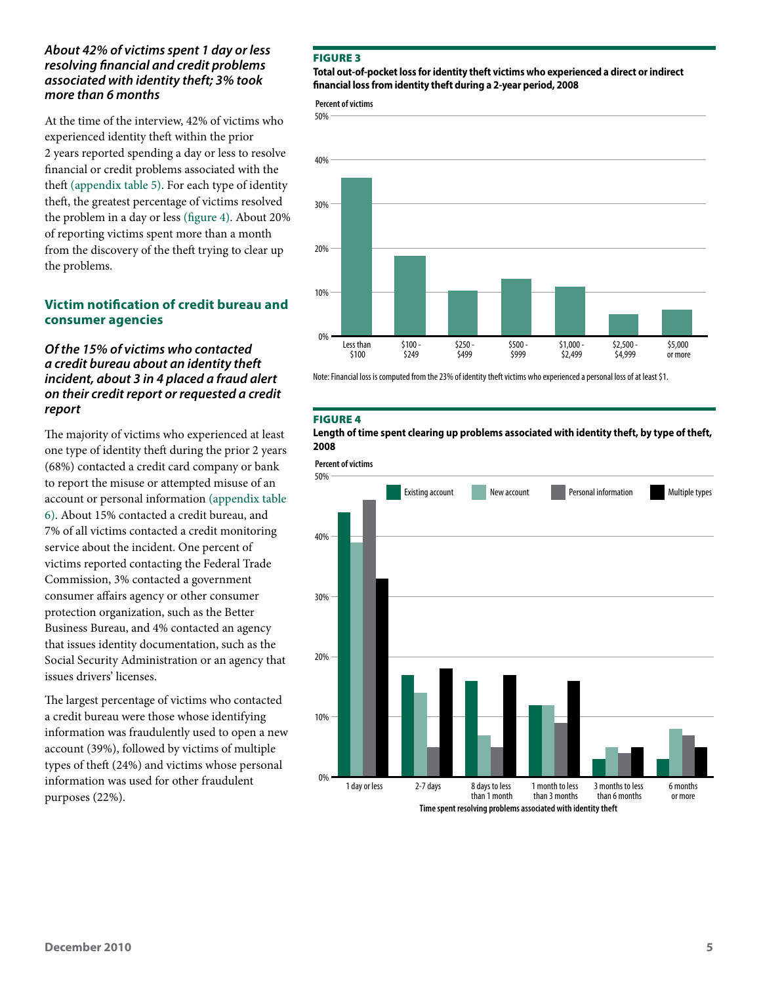## *About 42% of victims spent 1 day or less resolving financial and credit problems associated with identity theft; 3% took more than 6 months*

At the time of the interview, 42% of victims who experienced identity theft within the prior 2 years reported spending a day or less to resolve financial or credit problems associated with the theft (appendix table 5). For each type of identity theft, the greatest percentage of victims resolved the problem in a day or less (figure 4). About 20% of reporting victims spent more than a month from the discovery of the theft trying to clear up the problems.

## **Victim notification of credit bureau and consumer agencies**

## *Of the 15% of victims who contacted a credit bureau about an identity theft incident, about 3 in 4 placed a fraud alert on their credit report or requested a credit report*

The majority of victims who experienced at least one type of identity theft during the prior 2 years (68%) contacted a credit card company or bank to report the misuse or attempted misuse of an account or personal information (appendix table 6). About 15% contacted a credit bureau, and 7% of all victims contacted a credit monitoring service about the incident. One percent of victims reported contacting the Federal Trade Commission, 3% contacted a government consumer affairs agency or other consumer protection organization, such as the Better Business Bureau, and 4% contacted an agency that issues identity documentation, such as the Social Security Administration or an agency that issues drivers' licenses.

The largest percentage of victims who contacted a credit bureau were those whose identifying information was fraudulently used to open a new account (39%), followed by victims of multiple types of theft (24%) and victims whose personal information was used for other fraudulent purposes (22%).

#### Figure 3

#### **Total out-of-pocket loss for identity theft victims who experienced a direct or indirect financial loss from identity theft during a 2-year period, 2008**

**Percent of victims**



Note: Financial loss is computed from the 23% of identity theft victims who experienced a personal loss of at least \$1.

#### Figure 4

**Length of time spent clearing up problems associated with identity theft, by type of theft, 2008**

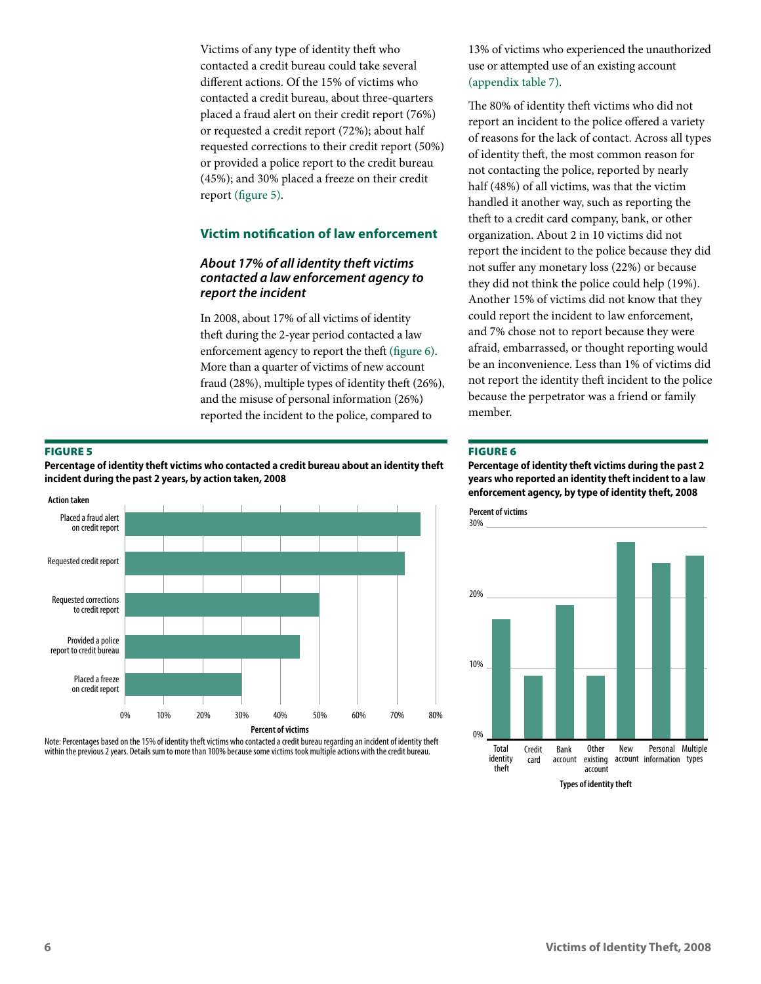Victims of any type of identity theft who contacted a credit bureau could take several different actions. Of the 15% of victims who contacted a credit bureau, about three-quarters placed a fraud alert on their credit report (76%) or requested a credit report (72%); about half requested corrections to their credit report (50%) or provided a police report to the credit bureau (45%); and 30% placed a freeze on their credit report (figure 5).

## **Victim notification of law enforcement**

## *About 17% of all identity theft victims contacted a law enforcement agency to report the incident*

In 2008, about 17% of all victims of identity theft during the 2-year period contacted a law enforcement agency to report the theft (figure 6). More than a quarter of victims of new account fraud (28%), multiple types of identity theft (26%), and the misuse of personal information (26%) reported the incident to the police, compared to

#### Figure 5

**Percentage of identity theft victims who contacted a credit bureau about an identity theft incident during the past 2 years, by action taken, 2008**



Note: Percentages based on the 15% of identity theft victims who contacted a credit bureau regarding an incident of identity theft within the previous 2 years. Details sum to more than 100% because some victims took multiple actions with the credit bureau.

13% of victims who experienced the unauthorized use or attempted use of an existing account (appendix table 7).

The 80% of identity theft victims who did not report an incident to the police offered a variety of reasons for the lack of contact. Across all types of identity theft, the most common reason for not contacting the police, reported by nearly half (48%) of all victims, was that the victim handled it another way, such as reporting the theft to a credit card company, bank, or other organization. About 2 in 10 victims did not report the incident to the police because they did not suffer any monetary loss (22%) or because they did not think the police could help (19%). Another 15% of victims did not know that they could report the incident to law enforcement, and 7% chose not to report because they were afraid, embarrassed, or thought reporting would be an inconvenience. Less than 1% of victims did not report the identity theft incident to the police because the perpetrator was a friend or family member.

#### Figure 6

**Percentage of identity theft victims during the past 2 years who reported an identity theft incident to a law enforcement agency, by type of identity theft, 2008**

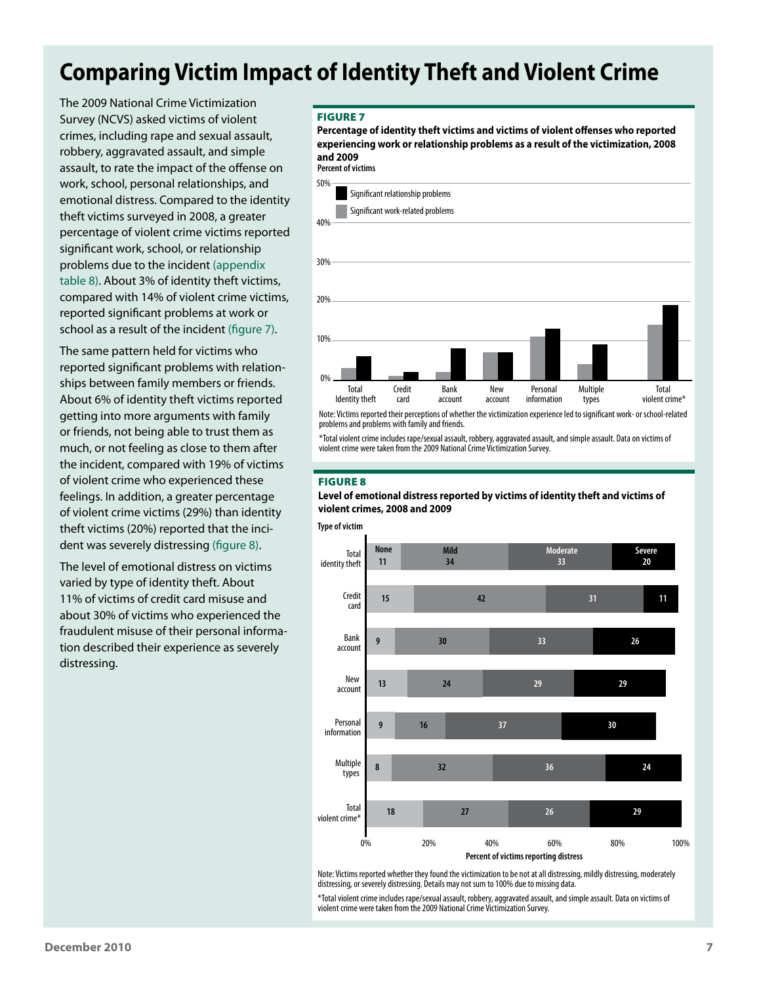## **Comparing Victim Impact of Identity Theft and Violent Crime**

The 2009 National Crime Victimization Survey (NCVS) asked victims of violent crimes, including rape and sexual assault, robbery, aggravated assault, and simple assault, to rate the impact of the offense on work, school, personal relationships, and emotional distress. Compared to the identity theft victims surveyed in 2008, a greater percentage of violent crime victims reported significant work, school, or relationship problems due to the incident (appendix table 8). About 3% of identity theft victims, compared with 14% of violent crime victims, reported significant problems at work or school as a result of the incident (figure 7).

The same pattern held for victims who reported significant problems with relationships between family members or friends. About 6% of identity theft victims reported getting into more arguments with family or friends, not being able to trust them as much, or not feeling as close to them after the incident, compared with 19% of victims of violent crime who experienced these feelings. In addition, a greater percentage of violent crime victims (29%) than identity theft victims (20%) reported that the incident was severely distressing (figure 8).

The level of emotional distress on victims varied by type of identity theft. About 11% of victims of credit card misuse and about 30% of victims who experienced the fraudulent misuse of their personal information described their experience as severely distressing.

#### Figure 7

**Percent of victims Percentage of identity theft victims and victims of violent offenses who reported experiencing work or relationship problems as a result of the victimization, 2008 and 2009**



problems and problems with family and friends.

\*Total violent crime includes rape/sexual assault, robbery, aggravated assault, and simple assault. Data on victims of violent crime were taken from the 2009 National Crime Victimization Survey.

#### Figure 8

#### **Level of emotional distress reported by victims of identity theft and victims of violent crimes, 2008 and 2009**





Note: Victims reported whether they found the victimization to be not at all distressing, mildly distressing, moderately distressing, or severely distressing. Details may not sum to 100% due to missing data.

\*Total violent crime includes rape/sexual assault, robbery, aggravated assault, and simple assault. Data on victims of violent crime were taken from the 2009 National Crime Victimization Survey.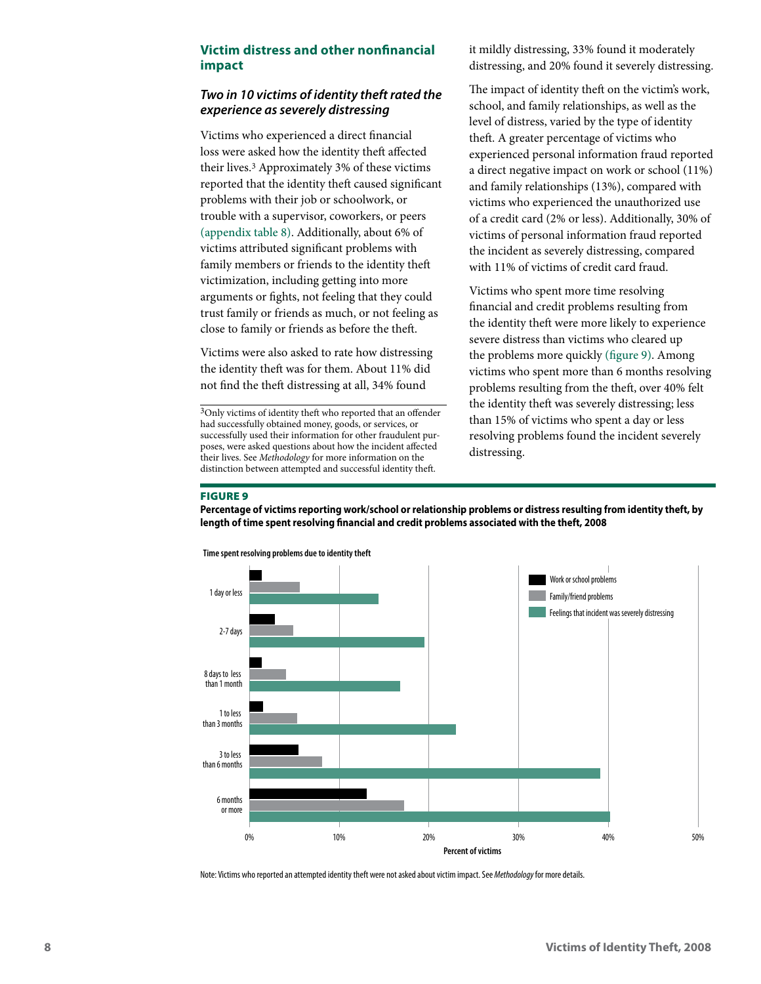## **Victim distress and other nonfinancial impact**

## *Two in 10 victims of identity theft rated the experience as severely distressing*

Victims who experienced a direct financial loss were asked how the identity theft affected their lives.3 Approximately 3% of these victims reported that the identity theft caused significant problems with their job or schoolwork, or trouble with a supervisor, coworkers, or peers (appendix table 8). Additionally, about 6% of victims attributed significant problems with family members or friends to the identity theft victimization, including getting into more arguments or fights, not feeling that they could trust family or friends as much, or not feeling as close to family or friends as before the theft.

Victims were also asked to rate how distressing the identity theft was for them. About 11% did not find the theft distressing at all, 34% found

it mildly distressing, 33% found it moderately distressing, and 20% found it severely distressing.

The impact of identity theft on the victim's work, school, and family relationships, as well as the level of distress, varied by the type of identity theft. A greater percentage of victims who experienced personal information fraud reported a direct negative impact on work or school (11%) and family relationships (13%), compared with victims who experienced the unauthorized use of a credit card (2% or less). Additionally, 30% of victims of personal information fraud reported the incident as severely distressing, compared with 11% of victims of credit card fraud.

Victims who spent more time resolving financial and credit problems resulting from the identity theft were more likely to experience severe distress than victims who cleared up the problems more quickly (figure 9). Among victims who spent more than 6 months resolving problems resulting from the theft, over 40% felt the identity theft was severely distressing; less than 15% of victims who spent a day or less resolving problems found the incident severely distressing.

#### Figure 9

**Percentage of victims reporting work/school or relationship problems or distress resulting from identity theft, by length of time spent resolving financial and credit problems associated with the theft, 2008**



Note: Victims who reported an attempted identity theft were not asked about victim impact. See *Methodology* for more details.

<sup>3</sup>Only victims of identity theft who reported that an offender had successfully obtained money, goods, or services, or successfully used their information for other fraudulent purposes, were asked questions about how the incident affected their lives. See *Methodology* for more information on the distinction between attempted and successful identity theft.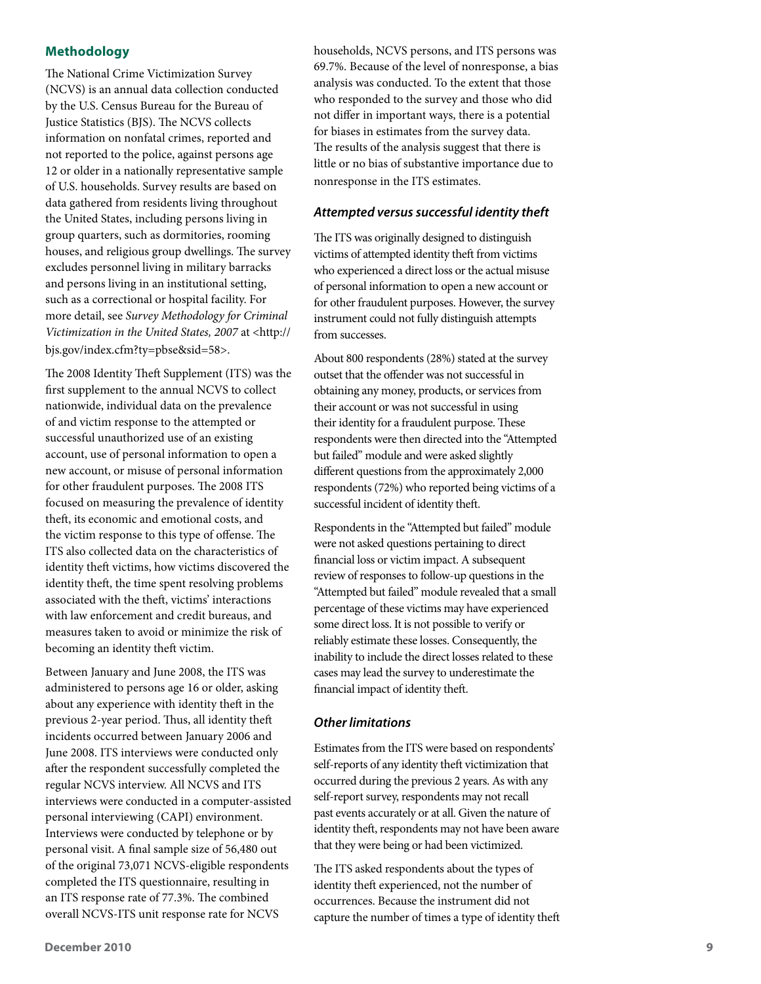## **Methodology**

The National Crime Victimization Survey (NCVS) is an annual data collection conducted by the U.S. Census Bureau for the Bureau of Justice Statistics (BJS). The NCVS collects information on nonfatal crimes, reported and not reported to the police, against persons age 12 or older in a nationally representative sample of U.S. households. Survey results are based on data gathered from residents living throughout the United States, including persons living in group quarters, such as dormitories, rooming houses, and religious group dwellings. The survey excludes personnel living in military barracks and persons living in an institutional setting, such as a correctional or hospital facility. For more detail, see *Survey Methodology for Criminal Victimization in the United States, 2007* at <http:// bjs.gov/index.cfm?ty=pbse&sid=58>.

The 2008 Identity Theft Supplement (ITS) was the first supplement to the annual NCVS to collect nationwide, individual data on the prevalence of and victim response to the attempted or successful unauthorized use of an existing account, use of personal information to open a new account, or misuse of personal information for other fraudulent purposes. The 2008 ITS focused on measuring the prevalence of identity theft, its economic and emotional costs, and the victim response to this type of offense. The ITS also collected data on the characteristics of identity theft victims, how victims discovered the identity theft, the time spent resolving problems associated with the theft, victims' interactions with law enforcement and credit bureaus, and measures taken to avoid or minimize the risk of becoming an identity theft victim.

Between January and June 2008, the ITS was administered to persons age 16 or older, asking about any experience with identity theft in the previous 2-year period. Thus, all identity theft incidents occurred between January 2006 and June 2008. ITS interviews were conducted only after the respondent successfully completed the regular NCVS interview. All NCVS and ITS interviews were conducted in a computer-assisted personal interviewing (CAPI) environment. Interviews were conducted by telephone or by personal visit. A final sample size of 56,480 out of the original 73,071 NCVS-eligible respondents completed the ITS questionnaire, resulting in an ITS response rate of 77.3%. The combined overall NCVS-ITS unit response rate for NCVS

households, NCVS persons, and ITS persons was 69.7%. Because of the level of nonresponse, a bias analysis was conducted. To the extent that those who responded to the survey and those who did not differ in important ways, there is a potential for biases in estimates from the survey data. The results of the analysis suggest that there is little or no bias of substantive importance due to nonresponse in the ITS estimates.

## *Attempted versus successful identity theft*

The ITS was originally designed to distinguish victims of attempted identity theft from victims who experienced a direct loss or the actual misuse of personal information to open a new account or for other fraudulent purposes. However, the survey instrument could not fully distinguish attempts from successes.

About 800 respondents (28%) stated at the survey outset that the offender was not successful in obtaining any money, products, or services from their account or was not successful in using their identity for a fraudulent purpose. These respondents were then directed into the "Attempted but failed" module and were asked slightly different questions from the approximately 2,000 respondents (72%) who reported being victims of a successful incident of identity theft.

Respondents in the "Attempted but failed" module were not asked questions pertaining to direct financial loss or victim impact. A subsequent review of responses to follow-up questions in the "Attempted but failed" module revealed that a small percentage of these victims may have experienced some direct loss. It is not possible to verify or reliably estimate these losses. Consequently, the inability to include the direct losses related to these cases may lead the survey to underestimate the financial impact of identity theft.

## *Other limitations*

Estimates from the ITS were based on respondents' self-reports of any identity theft victimization that occurred during the previous 2 years. As with any self-report survey, respondents may not recall past events accurately or at all. Given the nature of identity theft, respondents may not have been aware that they were being or had been victimized.

The ITS asked respondents about the types of identity theft experienced, not the number of occurrences. Because the instrument did not capture the number of times a type of identity theft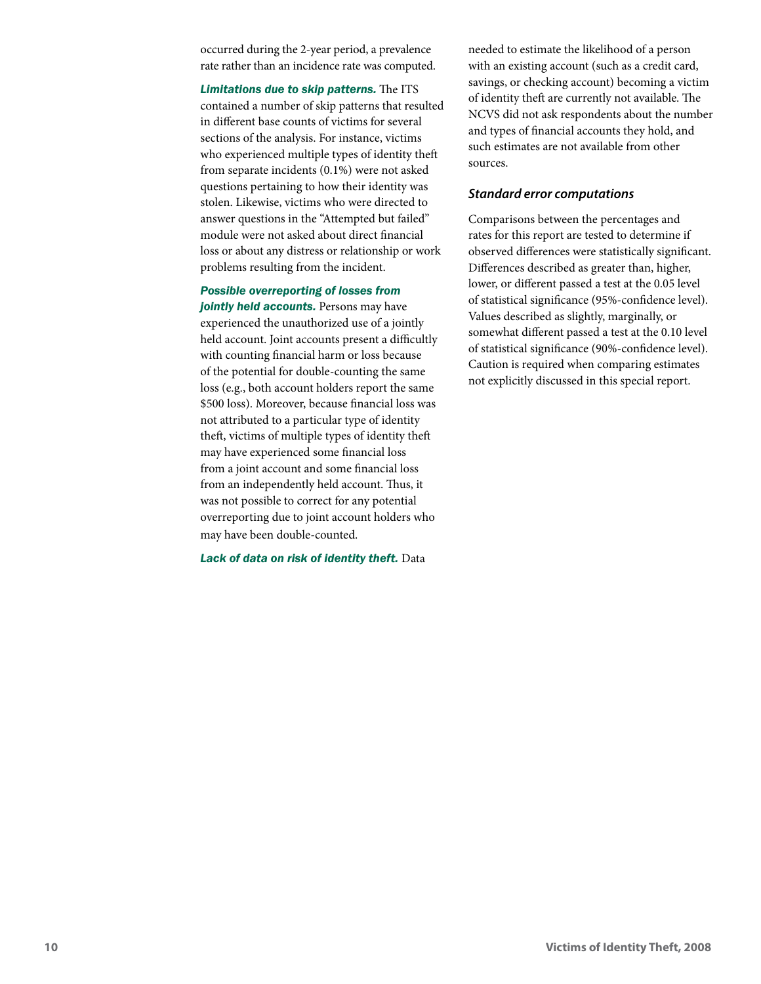occurred during the 2-year period, a prevalence rate rather than an incidence rate was computed.

*Limitations due to skip patterns.* The ITS contained a number of skip patterns that resulted in different base counts of victims for several sections of the analysis. For instance, victims who experienced multiple types of identity theft from separate incidents (0.1%) were not asked questions pertaining to how their identity was stolen. Likewise, victims who were directed to answer questions in the "Attempted but failed" module were not asked about direct financial loss or about any distress or relationship or work problems resulting from the incident.

### *Possible overreporting of losses from*

*jointly held accounts.* Persons may have experienced the unauthorized use of a jointly held account. Joint accounts present a difficultly with counting financial harm or loss because of the potential for double-counting the same loss (e.g., both account holders report the same \$500 loss). Moreover, because financial loss was not attributed to a particular type of identity theft, victims of multiple types of identity theft may have experienced some financial loss from a joint account and some financial loss from an independently held account. Thus, it was not possible to correct for any potential overreporting due to joint account holders who may have been double-counted.

*Lack of data on risk of identity theft.* Data

needed to estimate the likelihood of a person with an existing account (such as a credit card, savings, or checking account) becoming a victim of identity theft are currently not available. The NCVS did not ask respondents about the number and types of financial accounts they hold, and such estimates are not available from other sources.

#### *Standard error computations*

Comparisons between the percentages and rates for this report are tested to determine if observed differences were statistically significant. Differences described as greater than, higher, lower, or different passed a test at the 0.05 level of statistical significance (95%-confidence level). Values described as slightly, marginally, or somewhat different passed a test at the 0.10 level of statistical significance (90%-confidence level). Caution is required when comparing estimates not explicitly discussed in this special report.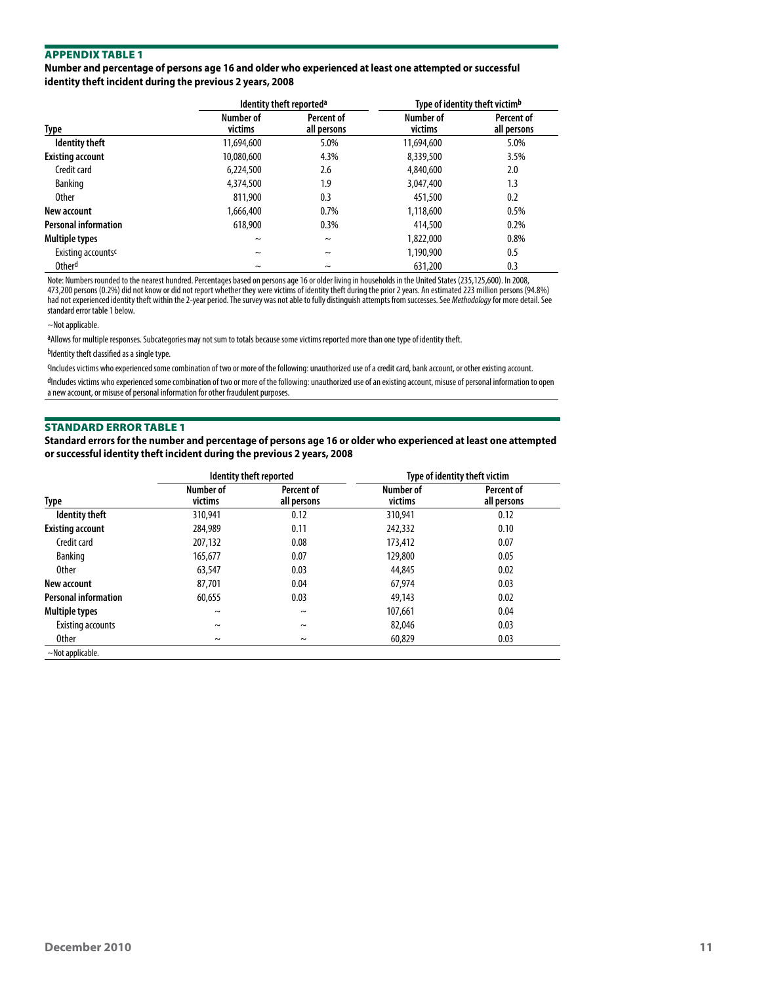**Number and percentage of persons age 16 and older who experienced at least one attempted or successful identity theft incident during the previous 2 years, 2008**

|                                |                      | Identity theft reported <sup>a</sup> | Type of identity theft victim <sup>b</sup> |                           |  |  |
|--------------------------------|----------------------|--------------------------------------|--------------------------------------------|---------------------------|--|--|
| Type                           | Number of<br>victims | Percent of<br>all persons            | Number of<br>victims                       | Percent of<br>all persons |  |  |
| <b>Identity theft</b>          | 11,694,600           | 5.0%                                 | 11,694,600                                 | 5.0%                      |  |  |
| <b>Existing account</b>        | 10,080,600           | 4.3%                                 | 8,339,500                                  | 3.5%                      |  |  |
| Credit card                    | 6,224,500            | 2.6                                  | 4,840,600                                  | 2.0                       |  |  |
| <b>Banking</b>                 | 4,374,500            | 1.9                                  | 3,047,400                                  | 1.3                       |  |  |
| <b>Other</b>                   | 811,900              | 0.3                                  | 451,500                                    | 0.2                       |  |  |
| New account                    | 1,666,400            | 0.7%                                 | 1,118,600                                  | 0.5%                      |  |  |
| <b>Personal information</b>    | 618,900              | 0.3%                                 | 414,500                                    | 0.2%                      |  |  |
| <b>Multiple types</b>          | $\tilde{}$           | $\tilde{}$                           | 1,822,000                                  | 0.8%                      |  |  |
| Existing accounts <sup>c</sup> | $\tilde{}$           | $\tilde{}$                           | 1,190,900                                  | 0.5                       |  |  |
| Other <sup>d</sup>             | $\tilde{}$           | $\tilde{}$                           | 631,200                                    | 0.3                       |  |  |

Note: Numbers rounded to the nearest hundred. Percentages based on persons age 16 or older living in households in the United States (235,125,600). In 2008, 473,200 persons (0.2%) did not know or did not report whether they were victims of identity theft during the prior 2 years. An estimated 223 million persons (94.8%) had not experienced identity theft within the 2-year period. The survey was not able to fully distinguish attempts from successes. See *Methodology* for more detail. See standard error table 1 below.

~Not applicable.

aAllows for multiple responses. Subcategories may not sum to totals because some victims reported more than one type of identity theft.

bIdentity theft classified as a single type.

cIncludes victims who experienced some combination of two or more of the following: unauthorized use of a credit card, bank account, or other existing account.

dIncludes victims who experienced some combination of two or more of the following: unauthorized use of an existing account, misuse of personal information to open a new account, or misuse of personal information for other fraudulent purposes.

#### Standard Error Table 1

**Standard errors for the number and percentage of persons age 16 or older who experienced at least one attempted or successful identity theft incident during the previous 2 years, 2008**

|                             | Identity theft reported |                           | Type of identity theft victim |                           |  |  |
|-----------------------------|-------------------------|---------------------------|-------------------------------|---------------------------|--|--|
| Type                        | Number of<br>victims    | Percent of<br>all persons | Number of<br>victims          | Percent of<br>all persons |  |  |
| <b>Identity theft</b>       | 310,941                 | 0.12                      | 310,941                       | 0.12                      |  |  |
| <b>Existing account</b>     | 284,989                 | 0.11                      | 242,332                       | 0.10                      |  |  |
| Credit card                 | 207,132                 | 0.08                      | 173,412                       | 0.07                      |  |  |
| <b>Banking</b>              | 165,677                 | 0.07                      | 129,800                       | 0.05                      |  |  |
| <b>Other</b>                | 63,547                  | 0.03                      | 44,845                        | 0.02                      |  |  |
| New account                 | 87,701                  | 0.04                      | 67,974                        | 0.03                      |  |  |
| <b>Personal information</b> | 60.655                  | 0.03                      | 49,143                        | 0.02                      |  |  |
| Multiple types              | $\tilde{}$              | $\tilde{}$                | 107.661                       | 0.04                      |  |  |
| Existing accounts           | $\sim$                  | $\tilde{\phantom{a}}$     | 82,046                        | 0.03                      |  |  |
| <b>Other</b>                | $\sim$                  | $\tilde{}$                | 60,829                        | 0.03                      |  |  |
| $\sim$ Not applicable.      |                         |                           |                               |                           |  |  |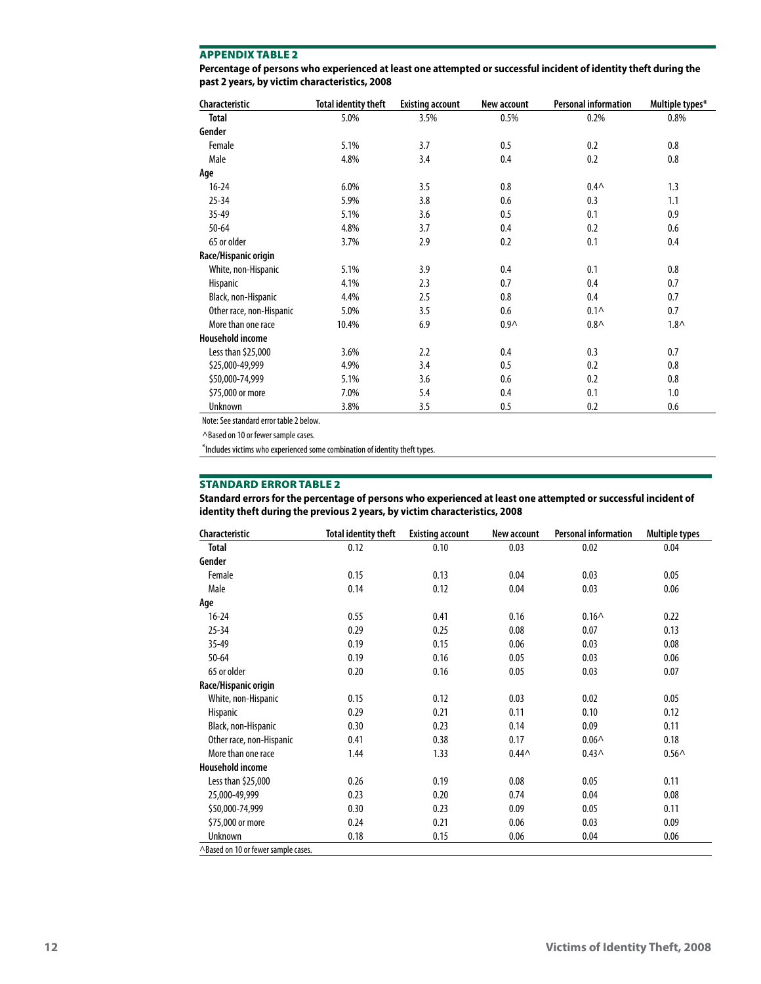| Percentage of persons who experienced at least one attempted or successful incident of identity theft during the |
|------------------------------------------------------------------------------------------------------------------|
| past 2 years, by victim characteristics, 2008                                                                    |

| Characteristic           | <b>Total identity theft</b> | <b>Existing account</b> | New account      | <b>Personal information</b> | Multiple types* |
|--------------------------|-----------------------------|-------------------------|------------------|-----------------------------|-----------------|
| Total                    | 5.0%                        | 3.5%                    | 0.5%             | 0.2%                        | 0.8%            |
| Gender                   |                             |                         |                  |                             |                 |
| Female                   | 5.1%                        | 3.7                     | 0.5              | 0.2                         | 0.8             |
| Male                     | 4.8%                        | 3.4                     | 0.4              | 0.2                         | 0.8             |
| Age                      |                             |                         |                  |                             |                 |
| $16 - 24$                | 6.0%                        | 3.5                     | 0.8              | $0.4\wedge$                 | 1.3             |
| $25 - 34$                | 5.9%                        | 3.8                     | 0.6              | 0.3                         | 1.1             |
| $35 - 49$                | 5.1%                        | 3.6                     | 0.5              | 0.1                         | 0.9             |
| $50 - 64$                | 4.8%                        | 3.7                     | 0.4              | 0.2                         | 0.6             |
| 65 or older              | 3.7%                        | 2.9                     | 0.2              | 0.1                         | 0.4             |
| Race/Hispanic origin     |                             |                         |                  |                             |                 |
| White, non-Hispanic      | 5.1%                        | 3.9                     | 0.4              | 0.1                         | 0.8             |
| Hispanic                 | 4.1%                        | 2.3                     | 0.7              | 0.4                         | 0.7             |
| Black, non-Hispanic      | 4.4%                        | 2.5                     | 0.8              | 0.4                         | 0.7             |
| Other race, non-Hispanic | 5.0%                        | 3.5                     | 0.6              | $0.1\wedge$                 | 0.7             |
| More than one race       | 10.4%                       | 6.9                     | 0.9 <sub>0</sub> | $0.8\wedge$                 | $1.8\wedge$     |
| <b>Household income</b>  |                             |                         |                  |                             |                 |
| Less than \$25,000       | 3.6%                        | 2.2                     | 0.4              | 0.3                         | 0.7             |
| \$25,000-49,999          | 4.9%                        | 3.4                     | 0.5              | 0.2                         | 0.8             |
| \$50,000-74,999          | 5.1%                        | 3.6                     | 0.6              | 0.2                         | 0.8             |
| \$75,000 or more         | 7.0%                        | 5.4                     | 0.4              | 0.1                         | 1.0             |
| Unknown                  | 3.8%                        | 3.5                     | 0.5              | 0.2                         | 0.6             |

Note: See standard error table 2 below.

^Based on 10 or fewer sample cases.

\*Includes victims who experienced some combination of identity theft types.

## Standard Error Table 2

**Standard errors for the percentage of persons who experienced at least one attempted or successful incident of identity theft during the previous 2 years, by victim characteristics, 2008**

| Characteristic                      | <b>Total identity theft</b> | <b>Existing account</b> | New account | <b>Personal information</b> | <b>Multiple types</b> |
|-------------------------------------|-----------------------------|-------------------------|-------------|-----------------------------|-----------------------|
| Total                               | 0.12                        | 0.10                    | 0.03        | 0.02                        | 0.04                  |
| Gender                              |                             |                         |             |                             |                       |
| Female                              | 0.15                        | 0.13                    | 0.04        | 0.03                        | 0.05                  |
| Male                                | 0.14                        | 0.12                    | 0.04        | 0.03                        | 0.06                  |
| Age                                 |                             |                         |             |                             |                       |
| $16 - 24$                           | 0.55                        | 0.41                    | 0.16        | $0.16 \wedge$               | 0.22                  |
| $25 - 34$                           | 0.29                        | 0.25                    | 0.08        | 0.07                        | 0.13                  |
| $35 - 49$                           | 0.19                        | 0.15                    | 0.06        | 0.03                        | 0.08                  |
| $50 - 64$                           | 0.19                        | 0.16                    | 0.05        | 0.03                        | 0.06                  |
| 65 or older                         | 0.20                        | 0.16                    | 0.05        | 0.03                        | 0.07                  |
| Race/Hispanic origin                |                             |                         |             |                             |                       |
| White, non-Hispanic                 | 0.15                        | 0.12                    | 0.03        | 0.02                        | 0.05                  |
| Hispanic                            | 0.29                        | 0.21                    | 0.11        | 0.10                        | 0.12                  |
| Black, non-Hispanic                 | 0.30                        | 0.23                    | 0.14        | 0.09                        | 0.11                  |
| Other race, non-Hispanic            | 0.41                        | 0.38                    | 0.17        | $0.06 \wedge$               | 0.18                  |
| More than one race                  | 1.44                        | 1.33                    | $0.44^$     | $0.43 \wedge$               | $0.56^$               |
| <b>Household income</b>             |                             |                         |             |                             |                       |
| Less than \$25,000                  | 0.26                        | 0.19                    | 0.08        | 0.05                        | 0.11                  |
| 25,000-49,999                       | 0.23                        | 0.20                    | 0.74        | 0.04                        | 0.08                  |
| \$50,000-74,999                     | 0.30                        | 0.23                    | 0.09        | 0.05                        | 0.11                  |
| \$75,000 or more                    | 0.24                        | 0.21                    | 0.06        | 0.03                        | 0.09                  |
| <b>Unknown</b>                      | 0.18                        | 0.15                    | 0.06        | 0.04                        | 0.06                  |
| ^Based on 10 or fewer sample cases. |                             |                         |             |                             |                       |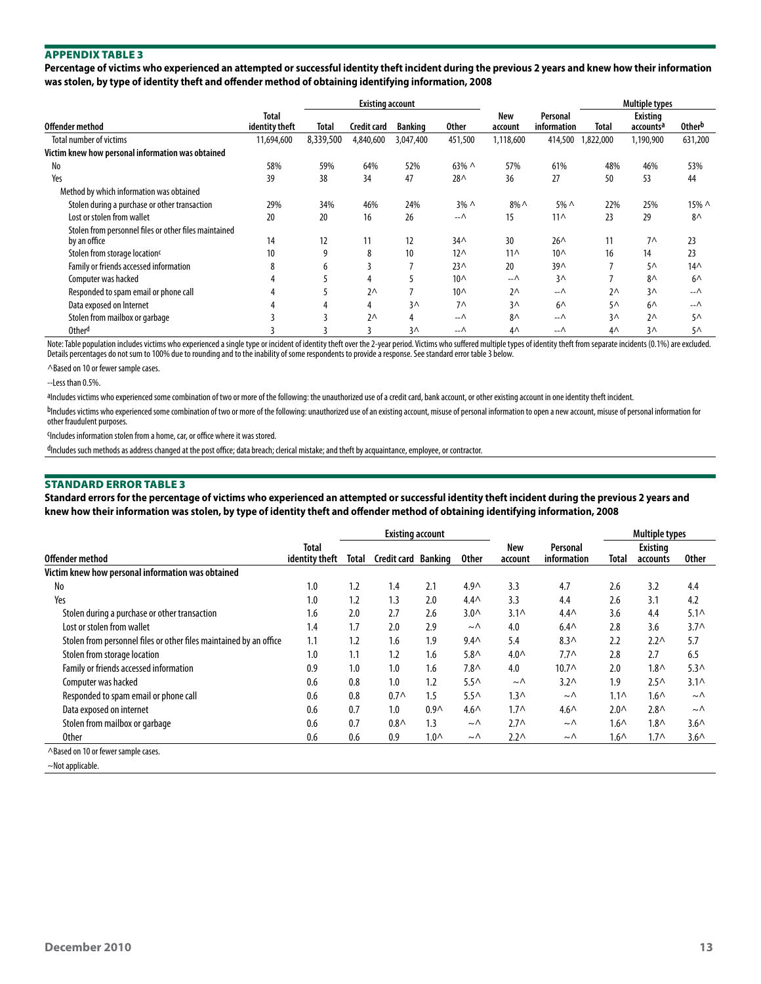**Percentage of victims who experienced an attempted or successful identity theft incident during the previous 2 years and knew how their information was stolen, by type of identity theft and offender method of obtaining identifying information, 2008**

|                                                                       |                         |           | <b>Existing account</b> |                |                 |                 | <b>Multiple types</b>   |                |                                   |               |
|-----------------------------------------------------------------------|-------------------------|-----------|-------------------------|----------------|-----------------|-----------------|-------------------------|----------------|-----------------------------------|---------------|
| Offender method                                                       | Total<br>identity theft | Total     | Credit card             | <b>Banking</b> | <b>Other</b>    | New<br>account  | Personal<br>information | <b>Total</b>   | Existing<br>accounts <sup>a</sup> | <b>Otherb</b> |
| <b>Total number of victims</b>                                        | 11,694,600              | 8,339,500 | 4,840,600               | 3,047,400      | 451,500         | 1,118,600       | 414,500                 | 1,822,000      | 1,190,900                         | 631,200       |
| Victim knew how personal information was obtained                     |                         |           |                         |                |                 |                 |                         |                |                                   |               |
| No                                                                    | 58%                     | 59%       | 64%                     | 52%            | $63\% \wedge$   | 57%             | 61%                     | 48%            | 46%                               | 53%           |
| Yes                                                                   | 39                      | 38        | 34                      | 47             | 28 <sub>0</sub> | 36              | 27                      | 50             | 53                                | 44            |
| Method by which information was obtained                              |                         |           |                         |                |                 |                 |                         |                |                                   |               |
| Stolen during a purchase or other transaction                         | 29%                     | 34%       | 46%                     | 24%            | $3\% \wedge$    | $8\%$ $\wedge$  | 5% ^                    | 22%            | 25%                               | 15% ^         |
| Lost or stolen from wallet                                            | 20                      | 20        | 16                      | 26             | $-\wedge$       | 15              | $11^$                   | 23             | 29                                | $8^{\wedge}$  |
| Stolen from personnel files or other files maintained<br>by an office | 14                      | 12        | 11                      | 12             | 34 <sub>0</sub> | 30              | $26^{\wedge}$           | 11             | $7^$                              | 23            |
| Stolen from storage location <sup>c</sup>                             | 10 <sup>°</sup>         | 9         | 8                       | 10             | $12^$           | 11 <sub>0</sub> | 10 <sub>0</sub>         | 16             | 14                                | 23            |
| Family or friends accessed information                                |                         | b         |                         |                | 23 <sub>0</sub> | 20              | 39 <sub>0</sub>         |                | 5 <sub>0</sub>                    | $14\wedge$    |
| Computer was hacked                                                   |                         |           | 4                       |                | 10 <sub>0</sub> | $-\wedge$       | $3\wedge$               |                | $8^{\wedge}$                      | $6^{\wedge}$  |
| Responded to spam email or phone call                                 |                         |           | $2^{\wedge}$            |                | $10^{\circ}$    | $2^{\wedge}$    | --∧                     | 2 <sub>0</sub> | 3 <sub>0</sub>                    | –−∧           |
| Data exposed on Internet                                              |                         | 4         | 4                       | 3 <sub>0</sub> | $7^$            | 3 <sub>0</sub>  | $6^{\wedge}$            | $5\Lambda$     | $6^{\wedge}$                      | $-\wedge$     |
| Stolen from mailbox or garbage                                        |                         |           | $2^{\wedge}$            | 4              | $-\wedge$       | $8^{\wedge}$    | --∧                     | 3 <sub>0</sub> | $2^{\wedge}$                      | $5^{\wedge}$  |
| Otherd                                                                |                         |           |                         | $3\wedge$      | $-\wedge$       | 4 <sub>0</sub>  | $-\Lambda$              | 4 <sub>0</sub> | 3 <sub>0</sub>                    | $5^{\wedge}$  |

Note: Table population includes victims who experienced a single type or incident of identity theft over the 2-year period. Victims who suffered multiple types of identity theft from separate incidents (0.1%) are excluded. Details percentages do not sum to 100% due to rounding and to the inability of some respondents to provide a response. See standard error table 3 below.

^Based on 10 or fewer sample cases.

--Less than 0.5%.

aIncludes victims who experienced some combination of two or more of the following: the unauthorized use of a credit card, bank account, or other existing account in one identity theft incident.

bIncludes victims who experienced some combination of two or more of the following: unauthorized use of an existing account, misuse of personal information for personal information for personal information for other fraudulent purposes.

cIncludes information stolen from a home, car, or office where it was stored.

dIncludes such methods as address changed at the post office; data breach; clerical mistake; and theft by acquaintance, employee, or contractor.

#### Standard Error Table 3

**Standard errors for the percentage of victims who experienced an attempted or successful identity theft incident during the previous 2 years and knew how their information was stolen, by type of identity theft and offender method of obtaining identifying information, 2008**

|                                                                    | <b>Existing account</b>        |       |                     |                  |                  |                       |                         | <b>Multiple types</b> |                      |                  |
|--------------------------------------------------------------------|--------------------------------|-------|---------------------|------------------|------------------|-----------------------|-------------------------|-----------------------|----------------------|------------------|
| Offender method                                                    | <b>Total</b><br>identity theft | Total | Credit card Banking |                  | <b>Other</b>     | <b>New</b><br>account | Personal<br>information | Total                 | Existina<br>accounts | <b>Other</b>     |
| Victim knew how personal information was obtained                  |                                |       |                     |                  |                  |                       |                         |                       |                      |                  |
| No                                                                 | 1.0                            | 1.2   | 1.4                 | 2.1              | 4.9 <sub>0</sub> | 3.3                   | 4.7                     | 2.6                   | 3.2                  | 4.4              |
| Yes                                                                | 1.0                            | 1.2   | 1.3                 | 2.0              | $4.4^$           | 3.3                   | 4.4                     | 2.6                   | 3.1                  | 4.2              |
| Stolen during a purchase or other transaction                      | 1.6                            | 2.0   | 2.7                 | 2.6              | 3.0 <sub>0</sub> | $3.1\wedge$           | $4.4^$                  | 3.6                   | 4.4                  | $5.1^$           |
| Lost or stolen from wallet                                         | 1.4                            | 1.7   | 2.0                 | 2.9              | $\sim \wedge$    | 4.0                   | $6.4\wedge$             | 2.8                   | 3.6                  | $3.7^$           |
| Stolen from personnel files or other files maintained by an office | 1.1                            | 1.2   | 1.6                 | 1.9              | 9.4 <sub>0</sub> | 5.4                   | 8.3 <sub>0</sub>        | 2.2                   | 2.2 <sub>0</sub>     | 5.7              |
| Stolen from storage location                                       | 1.0                            | 1.1   | 1.2                 | 1.6              | 5.8 <sub>0</sub> | 4.0 <sub>0</sub>      | $7.7^$                  | 2.8                   | 2.7                  | 6.5              |
| Family or friends accessed information                             | 0.9                            | 1.0   | 1.0                 | 1.6              | 7.8 <sub>0</sub> | 4.0                   | $10.7 \wedge$           | 2.0                   | 1.8 <sub>0</sub>     | 5.3 <sub>0</sub> |
| Computer was hacked                                                | 0.6                            | 0.8   | 1.0                 | 1.2              | $5.5\wedge$      | $\sim \wedge$         | 3.2 <sub>0</sub>        | 1.9                   | 2.5 <sub>0</sub>     | $3.1^$           |
| Responded to spam email or phone call                              | 0.6                            | 0.8   | $0.7\wedge$         | 1.5              | 5.5 <sub>0</sub> | $1.3\wedge$           | $\sim \wedge$           | $1.1\wedge$           | $1.6\wedge$          | $\sim \wedge$    |
| Data exposed on internet                                           | 0.6                            | 0.7   | 1.0                 | 0.9 <sub>0</sub> | $4.6\wedge$      | $1.7^$                | $4.6\wedge$             | $2.0^{\circ}$         | 2.8 <sub>0</sub>     | $\sim \wedge$    |
| Stolen from mailbox or garbage                                     | 0.6                            | 0.7   | $0.8\wedge$         | 1.3              | $\sim \wedge$    | $2.7\wedge$           | $\sim \wedge$           | $1.6\wedge$           | $1.8\wedge$          | $3.6\wedge$      |
| <b>Other</b>                                                       | 0.6                            | 0.6   | 0.9                 | 1.0 <sub>0</sub> | $\sim \wedge$    | 2.2 <sub>0</sub>      | $\sim \wedge$           | 1.6 <sub>0</sub>      | $1.7^$               | 3.6 <sub>0</sub> |
| ^Based on 10 or fewer sample cases.                                |                                |       |                     |                  |                  |                       |                         |                       |                      |                  |
| $\sim$ Not applicable.                                             |                                |       |                     |                  |                  |                       |                         |                       |                      |                  |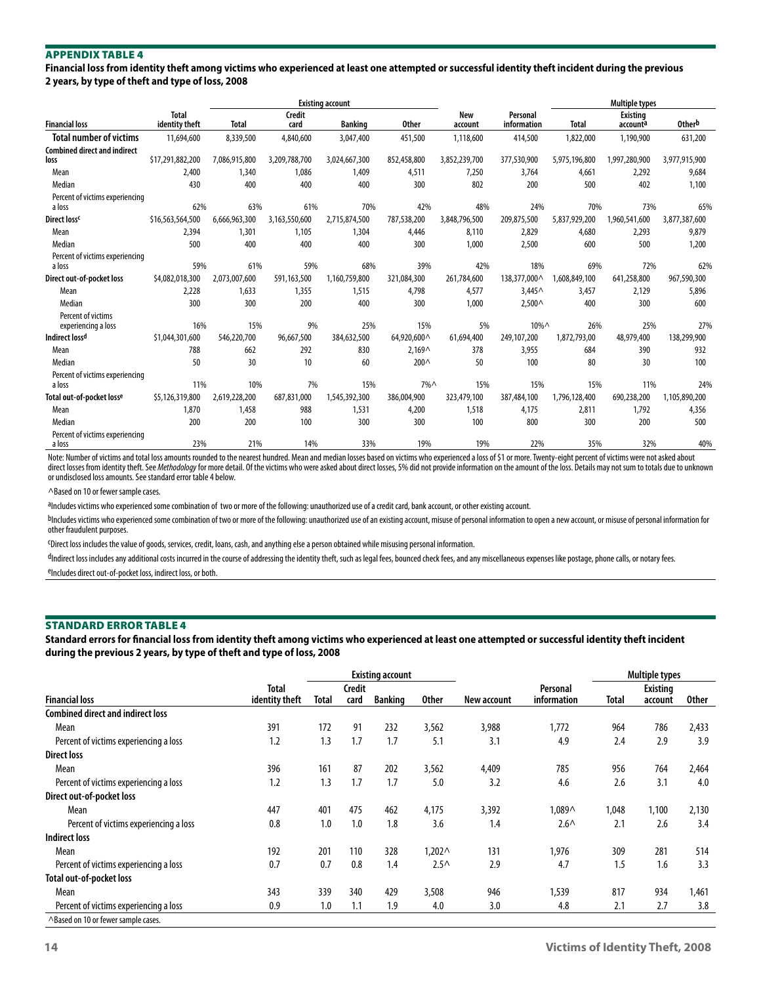**Financial loss from identity theft among victims who experienced at least one attempted or successful identity theft incident during the previous 2 years, by type of theft and type of loss, 2008**

|                                           |                                |               |                       | <b>Existing account</b> |                  |                       | <b>Multiple types</b>   |               |                             |                    |
|-------------------------------------------|--------------------------------|---------------|-----------------------|-------------------------|------------------|-----------------------|-------------------------|---------------|-----------------------------|--------------------|
| <b>Financial loss</b>                     | <b>Total</b><br>identity theft | <b>Total</b>  | <b>Credit</b><br>card | <b>Banking</b>          | <b>Other</b>     | <b>New</b><br>account | Personal<br>information | <b>Total</b>  | <b>Existing</b><br>accounta | Other <sup>b</sup> |
| Total number of victims                   | 11,694,600                     | 8,339,500     | 4,840,600             | 3,047,400               | 451,500          | 1,118,600             | 414,500                 | 1,822,000     | 1,190,900                   | 631,200            |
| <b>Combined direct and indirect</b>       |                                |               |                       |                         |                  |                       |                         |               |                             |                    |
| loss                                      | \$17,291,882,200               | 7,086,915,800 | 3,209,788,700         | 3,024,667,300           | 852,458,800      | 3,852,239,700         | 377,530,900             | 5,975,196,800 | 1,997,280,900               | 3,977,915,900      |
| Mean                                      | 2,400                          | 1,340         | 1,086                 | 1.409                   | 4,511            | 7,250                 | 3,764                   | 4,661         | 2,292                       | 9,684              |
| Median                                    | 430                            | 400           | 400                   | 400                     | 300              | 802                   | 200                     | 500           | 402                         | 1,100              |
| Percent of victims experiencing           |                                |               |                       |                         |                  |                       |                         |               |                             |                    |
| a loss                                    | 62%                            | 63%           | 61%                   | 70%                     | 42%              | 48%                   | 24%                     | 70%           | 73%                         | 65%                |
| Direct loss <sup>c</sup>                  | \$16,563,564,500               | 6,666,963,300 | 3,163,550,600         | 2,715,874,500           | 787,538,200      | 3,848,796,500         | 209,875,500             | 5,837,929,200 | 1,960,541,600               | 3,877,387,600      |
| Mean                                      | 2.394                          | 1.301         | 1.105                 | 1,304                   | 4.446            | 8,110                 | 2,829                   | 4.680         | 2,293                       | 9,879              |
| Median                                    | 500                            | 400           | 400                   | 400                     | 300              | 1,000                 | 2,500                   | 600           | 500                         | 1,200              |
| Percent of victims experiencing           |                                |               |                       |                         |                  |                       |                         |               |                             |                    |
| a loss                                    | 59%                            | 61%           | 59%                   | 68%                     | 39%              | 42%                   | 18%                     | 69%           | 72%                         | 62%                |
| Direct out-of-pocket loss                 | \$4,082,018,300                | 2.073.007.600 | 591.163.500           | 1.160.759.800           | 321,084,300      | 261,784,600           | 138,377,000 ^           | 1,608,849,100 | 641,258,800                 | 967,590,300        |
| Mean                                      | 2,228                          | 1.633         | 1.355                 | 1,515                   | 4,798            | 4,577                 | $3.445^$                | 3,457         | 2,129                       | 5,896              |
| Median                                    | 300                            | 300           | 200                   | 400                     | 300              | 1,000                 | 2.500 <sub>0</sub>      | 400           | 300                         | 600                |
| Percent of victims<br>experiencing a loss | 16%                            | 15%           | 9%                    | 25%                     | 15%              | 5%                    | $10\%$ $\wedge$         | 26%           | 25%                         | 27%                |
| Indirect loss <sup>d</sup>                | \$1,044,301,600                | 546.220.700   | 96.667.500            | 384,632,500             | 64,920,600 ^     | 61.694.400            | 249,107,200             | 1,872,793,00  | 48.979.400                  | 138,299,900        |
| Mean                                      | 788                            | 662           | 292                   | 830                     | $2,169^$         | 378                   | 3,955                   | 684           | 390                         | 932                |
| Median                                    | 50                             | 30            | 10                    | 60                      | 200 <sub>0</sub> | 50                    | 100                     | 80            | 30                          | 100                |
| Percent of victims experiencing           |                                |               |                       |                         |                  |                       |                         |               |                             |                    |
| a loss                                    | 11%                            | 10%           | 7%                    | 15%                     | $7\%$            | 15%                   | 15%                     | 15%           | 11%                         | 24%                |
| Total out-of-pocket losse                 | \$5,126,319,800                | 2,619,228,200 | 687.831.000           | 1,545,392,300           | 386,004,900      | 323,479,100           | 387,484,100             | 1,796,128,400 | 690,238,200                 | 1,105,890,200      |
| Mean                                      | 1.870                          | 1,458         | 988                   | 1,531                   | 4,200            | 1,518                 | 4,175                   | 2,811         | 1,792                       | 4,356              |
| Median                                    | 200                            | 200           | 100                   | 300                     | 300              | 100                   | 800                     | 300           | 200                         | 500                |
| Percent of victims experiencing<br>a loss | 23%                            | 21%           | 14%                   | 33%                     | 19%              | 19%                   | 22%                     | 35%           | 32%                         | 40%                |

Note: Number of victims and total loss amounts rounded to the nearest hundred. Mean and median losses based on victims who experienced a loss of \$1 or more. Twenty-eight percent of victims were not asked about direct losses from identity theft. See Methodology for more detail. Of the victims who were asked about direct losses, 5% did not provide information on the amount of the loss. Details may not sum to totals due to unknown or undisclosed loss amounts. See standard error table 4 below.

^Based on 10 or fewer sample cases.

aIncludes victims who experienced some combination of two or more of the following: unauthorized use of a credit card, bank account, or other existing account.

bIncludes victims who experienced some combination of two or more of the following: unauthorized use of an existing account, misuse of personal information to open a new account, or misuse of personal information to other fraudulent purposes.

cDirect loss includes the value of goods, services, credit, loans, cash, and anything else a person obtained while misusing personal information.

dIndirect loss includes any additional costs incurred in the course of addressing the identity theft, such as legal fees, bounced check fees, and any miscellaneous expenses like postage, phone calls, or notary fees. eIncludes direct out-of-pocket loss, indirect loss, or both.

#### Standard Error Table 4

**Standard errors for financial loss from identity theft among victims who experienced at least one attempted or successful identity theft incident during the previous 2 years, by type of theft and type of loss, 2008**

|                                          |                |              |        | <b>Existing account</b> |                  |             |               | <b>Multiple types</b> |                 |              |
|------------------------------------------|----------------|--------------|--------|-------------------------|------------------|-------------|---------------|-----------------------|-----------------|--------------|
|                                          | <b>Total</b>   |              | Credit |                         |                  |             | Personal      |                       | <b>Existing</b> |              |
| <b>Financial loss</b>                    | identity theft | <b>Total</b> | card   | <b>Banking</b>          | <b>Other</b>     | New account | information   | Total                 | account         | <b>Other</b> |
| <b>Combined direct and indirect loss</b> |                |              |        |                         |                  |             |               |                       |                 |              |
| Mean                                     | 391            | 172          | 91     | 232                     | 3,562            | 3,988       | 1,772         | 964                   | 786             | 2,433        |
| Percent of victims experiencing a loss   | 1.2            | 1.3          | 1.7    | 1.7                     | 5.1              | 3.1         | 4.9           | 2.4                   | 2.9             | 3.9          |
| <b>Direct loss</b>                       |                |              |        |                         |                  |             |               |                       |                 |              |
| Mean                                     | 396            | 161          | 87     | 202                     | 3,562            | 4,409       | 785           | 956                   | 764             | 2,464        |
| Percent of victims experiencing a loss   | 1.2            | 1.3          | 1.7    | 1.7                     | 5.0              | 3.2         | 4.6           | 2.6                   | 3.1             | 4.0          |
| Direct out-of-pocket loss                |                |              |        |                         |                  |             |               |                       |                 |              |
| Mean                                     | 447            | 401          | 475    | 462                     | 4,175            | 3,392       | 1,089∧        | 1,048                 | 1,100           | 2,130        |
| Percent of victims experiencing a loss   | 0.8            | 1.0          | 1.0    | 1.8                     | 3.6              | 1.4         | $2.6^{\circ}$ | 2.1                   | 2.6             | 3.4          |
| Indirect loss                            |                |              |        |                         |                  |             |               |                       |                 |              |
| Mean                                     | 192            | 201          | 110    | 328                     | $1,202 \wedge$   | 131         | 1,976         | 309                   | 281             | 514          |
| Percent of victims experiencing a loss   | 0.7            | 0.7          | 0.8    | 1.4                     | 2.5 <sub>0</sub> | 2.9         | 4.7           | 1.5                   | 1.6             | 3.3          |
| Total out-of-pocket loss                 |                |              |        |                         |                  |             |               |                       |                 |              |
| Mean                                     | 343            | 339          | 340    | 429                     | 3,508            | 946         | 1,539         | 817                   | 934             | 1,461        |
| Percent of victims experiencing a loss   | 0.9            | 1.0          | 1.1    | 1.9                     | 4.0              | 3.0         | 4.8           | 2.1                   | 2.7             | 3.8          |
| ^Based on 10 or fewer sample cases.      |                |              |        |                         |                  |             |               |                       |                 |              |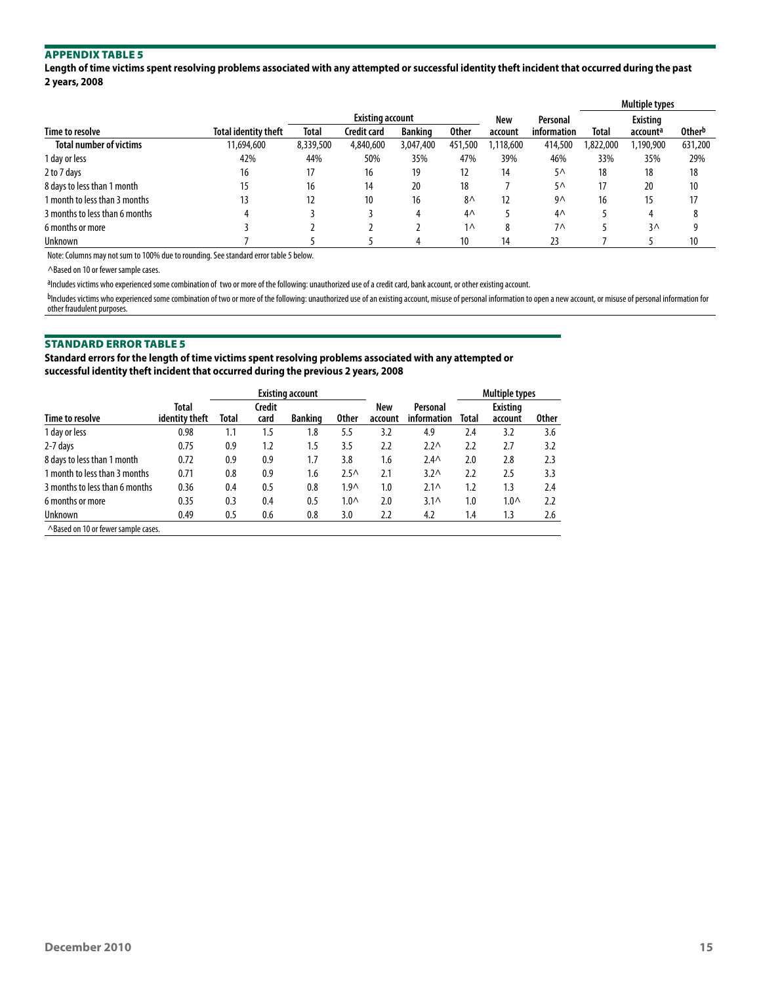**Length of time victims spent resolving problems associated with any attempted or successful identity theft incident that occurred during the past 2 years, 2008**

|                                |                             |              |                         |                |              |          |                | <b>Multiple types</b> |              |         |
|--------------------------------|-----------------------------|--------------|-------------------------|----------------|--------------|----------|----------------|-----------------------|--------------|---------|
|                                |                             |              | <b>Existing account</b> |                |              | New      | Personal       | <b>Existing</b>       |              |         |
| Time to resolve                | <b>Total identity theft</b> | <b>Total</b> | Credit card             | <b>Banking</b> | <b>Other</b> | account  | information    | <b>Total</b>          | accounta     | Otherb  |
| <b>Total number of victims</b> | 11,694,600                  | 8,339,500    | 4,840,600               | 3,047,400      | 451,500      | .118,600 | 414,500        | 822,000               | ,190,900     | 631,200 |
| 1 day or less                  | 42%                         | 44%          | 50%                     | 35%            | 47%          | 39%      | 46%            | 33%                   | 35%          | 29%     |
| 2 to 7 days                    | 16                          | 17           | 16                      | 19             | 12           | 14       | $5^{\wedge}$   | 18                    | 18           | 18      |
| 8 days to less than 1 month    | 15                          | 16           | 14                      | 20             | 18           |          | 5 <sub>0</sub> | 17                    | 20           | 10      |
| 1 month to less than 3 months  | 13                          | 12           | 10                      | 16             | $8^{\wedge}$ | 12       | 9۸             | 16                    | 15           | 17      |
| 3 months to less than 6 months | 4                           |              |                         |                | $4^{\wedge}$ |          | $4^{\wedge}$   |                       | 4            |         |
| 6 months or more               |                             |              |                         |                | $1\wedge$    | 8        | 7 <sub>0</sub> |                       | $3^{\wedge}$ |         |
| Unknown                        |                             |              |                         |                | 10           | 14       |                |                       |              | 10      |

Note: Columns may not sum to 100% due to rounding. See standard error table 5 below.

^Based on 10 or fewer sample cases.

aIncludes victims who experienced some combination of two or more of the following: unauthorized use of a credit card, bank account, or other existing account.

bIncludes victims who experienced some combination of two or more of the following: unauthorized use of an existing account, misuse of personal information to open a new account, or misuse of personal information for other fraudulent purposes.

#### Standard Error Table 5

**Standard errors for the length of time victims spent resolving problems associated with any attempted or successful identity theft incident that occurred during the previous 2 years, 2008**

|                                     |                                |       |                | <b>Existing account</b> |                  |                | <b>Multiple types</b>   |       |                            |              |
|-------------------------------------|--------------------------------|-------|----------------|-------------------------|------------------|----------------|-------------------------|-------|----------------------------|--------------|
| Time to resolve                     | <b>Total</b><br>identity theft | Total | Credit<br>card | <b>Banking</b>          | 0ther            | New<br>account | Personal<br>information | Total | <b>Existing</b><br>account | <b>Other</b> |
| 1 day or less                       | 0.98                           | 1.1   | 1.5            | 1.8                     | 5.5              | 3.2            | 4.9                     | 2.4   | 3.2                        | 3.6          |
| 2-7 days                            | 0.75                           | 0.9   | 1.2            | 1.5                     | 3.5              | 2.2            | $2.2^{\circ}$           | 2.2   | 2.7                        | 3.2          |
| 8 days to less than 1 month         | 0.72                           | 0.9   | 0.9            | 1.7                     | 3.8              | 1.6            | 2.4 <sub>0</sub>        | 2.0   | 2.8                        | 2.3          |
| 1 month to less than 3 months       | 0.71                           | 0.8   | 0.9            | 1.6                     | 2.5 <sub>0</sub> | 2.1            | 3.2 <sub>0</sub>        | 2.2   | 2.5                        | 3.3          |
| 3 months to less than 6 months      | 0.36                           | 0.4   | 0.5            | 0.8                     | 1.9 <sub>0</sub> | 1.0            | $2.1\wedge$             | 1.2   | 1.3                        | 2.4          |
| 6 months or more                    | 0.35                           | 0.3   | 0.4            | 0.5                     | 1.0 <sub>0</sub> | 2.0            | $3.1\wedge$             | 1.0   | 1.0 <sub>0</sub>           | 2.2          |
| Unknown                             | 0.49                           | 0.5   | 0.6            | 0.8                     | 3.0              | 2.2            | 4.2                     | 1.4   | 1.3                        | 2.6          |
| A Raced on 10 or fewer cample cases |                                |       |                |                         |                  |                |                         |       |                            |              |

Based on <mark>10 or fewer sample cases.</mark>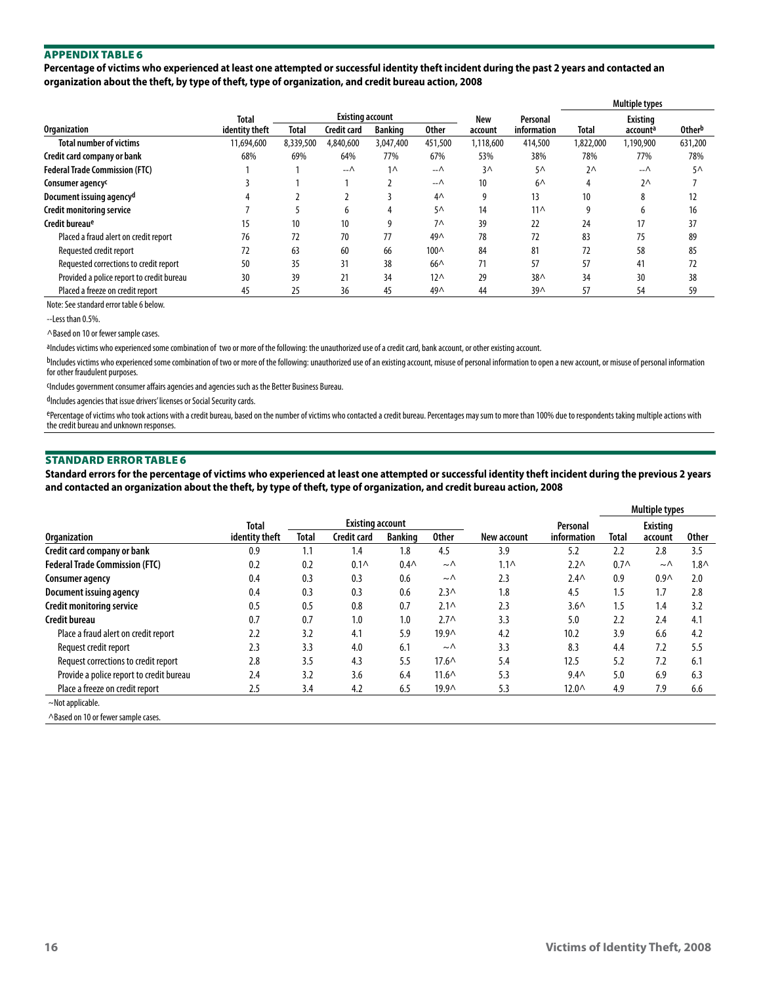**Percentage of victims who experienced at least one attempted or successful identity theft incident during the past 2 years and contacted an organization about the theft, by type of theft, type of organization, and credit bureau action, 2008**

|                                           |                |                 |                         |                |                 |           |                 | <b>Multiple types</b> |                      |              |  |
|-------------------------------------------|----------------|-----------------|-------------------------|----------------|-----------------|-----------|-----------------|-----------------------|----------------------|--------------|--|
|                                           | Total          |                 | <b>Existing account</b> |                |                 | New       | Personal        |                       | <b>Existing</b>      |              |  |
| <b>Organization</b>                       | identity theft | Total           | Credit card             | <b>Banking</b> | <b>Other</b>    | account   | information     | Total                 | account <sup>a</sup> | Otherb       |  |
| <b>Total number of victims</b>            | 11,694,600     | 8,339,500       | 4,840,600               | 3,047,400      | 451,500         | 1,118,600 | 414,500         | 1,822,000             | 1,190,900            | 631,200      |  |
| Credit card company or bank               | 68%            | 69%             | 64%                     | 77%            | 67%             | 53%       | 38%             | 78%                   | 77%                  | 78%          |  |
| <b>Federal Trade Commission (FTC)</b>     |                |                 | $ \wedge$               | $1^$           | --∧             | $3\wedge$ | $5^{\wedge}$    | $2^{\wedge}$          | $-\wedge$            | $5^{\wedge}$ |  |
| Consumer agency <sup>c</sup>              |                |                 |                         |                | $-\wedge$       | 10        | $6^$            | 4                     | $2^{\wedge}$         |              |  |
| Document issuing agency <sup>d</sup>      |                |                 |                         |                | 4 <sub>0</sub>  | q         | 13              | 10                    | 8                    | 12           |  |
| <b>Credit monitoring service</b>          |                |                 | h                       | 4              | 5٨              | 14        | $11^$           | 9                     | h                    | 16           |  |
| Credit bureau <sup>e</sup>                | 15             | 10 <sup>°</sup> | 10 <sup>°</sup>         | 9              | $7^$            | 39        | 22              | 24                    | 17                   | 37           |  |
| Placed a fraud alert on credit report     | 76             | 72              | 70                      | 77             | $49^$           | 78        | 72              | 83                    | 75                   | 89           |  |
| Requested credit report                   | 72             | 63              | 60                      | 66             | 100^            | 84        | 81              | 72                    | 58                   | 85           |  |
| Requested corrections to credit report    | 50             | 35              | 31                      | 38             | 66 <sub>0</sub> | 71        | 57              | 57                    | 41                   | 72           |  |
| Provided a police report to credit bureau | 30             | 39              | 21                      | 34             | $12^{\wedge}$   | 29        | 38 <sub>0</sub> | 34                    | 30                   | 38           |  |
| Placed a freeze on credit report          | 45             | 25              | 36                      | 45             | $49^$           | 44        | 39 <sub>0</sub> | 57                    | 54                   | 59           |  |

Note: See standard error table 6 below.

--Less than 0.5%.

^Based on 10 or fewer sample cases.

aIncludes victims who experienced some combination of two or more of the following: the unauthorized use of a credit card, bank account, or other existing account.

bIncludes victims who experienced some combination of two or more of the following: unauthorized use of an existing account, misuse of personal information to open a new account, or misuse of personal information for other fraudulent purposes.

cIncludes government consumer affairs agencies and agencies such as the Better Business Bureau.

dIncludes agencies that issue drivers' licenses or Social Security cards.

ePercentage of victims who took actions with a credit bureau, based on the number of victims who contacted a credit bureau. Percentages may sum to more than 100% due to respondents taking multiple actions with the credit bureau and unknown responses.

#### Standard Error Table 6

**Standard errors for the percentage of victims who experienced at least one attempted or successful identity theft incident during the previous 2 years and contacted an organization about the theft, by type of theft, type of organization, and credit bureau action, 2008**

|                                          |                |              |                         |                |                  |             |                   | Multiple types   |                  |              |  |
|------------------------------------------|----------------|--------------|-------------------------|----------------|------------------|-------------|-------------------|------------------|------------------|--------------|--|
|                                          | Total          |              | <b>Existing account</b> |                |                  |             | Personal          | <b>Existing</b>  |                  |              |  |
| <b>Organization</b>                      | identity theft | <b>Total</b> | <b>Credit card</b>      | <b>Banking</b> | <b>Other</b>     | New account | information       | Total            | account          | <b>Other</b> |  |
| Credit card company or bank              | 0.9            | 1.1          | 1.4                     | 1.8            | 4.5              | 3.9         | 5.2               | 2.2              | 2.8              | 3.5          |  |
| <b>Federal Trade Commission (FTC)</b>    | 0.2            | 0.2          | 0.1 <sub>0</sub>        | $0.4\wedge$    | $\sim \wedge$    | $1.1\wedge$ | 2.2 <sub>0</sub>  | 0.7 <sub>0</sub> | $\sim \wedge$    | $1.8\wedge$  |  |
| <b>Consumer agency</b>                   | 0.4            | 0.3          | 0.3                     | 0.6            | $\sim \wedge$    | 2.3         | $2.4 \wedge$      | 0.9              | 0.9 <sub>0</sub> | 2.0          |  |
| Document issuing agency                  | 0.4            | 0.3          | 0.3                     | 0.6            | 2.3 <sub>0</sub> | 1.8         | 4.5               | 1.5              | 1.7              | 2.8          |  |
| <b>Credit monitoring service</b>         | 0.5            | 0.5          | 0.8                     | 0.7            | $2.1\wedge$      | 2.3         | $3.6\wedge$       | 1.5              | 1.4              | 3.2          |  |
| Credit bureau                            | 0.7            | 0.7          | 1.0                     | 1.0            | 2.7 <sub>0</sub> | 3.3         | 5.0               | 2.2              | 2.4              | 4.1          |  |
| Place a fraud alert on credit report     | 2.2            | 3.2          | 4.1                     | 5.9            | $19.9^{\circ}$   | 4.2         | 10.2              | 3.9              | 6.6              | 4.2          |  |
| Request credit report                    | 2.3            | 3.3          | 4.0                     | 6.1            | $\sim \wedge$    | 3.3         | 8.3               | 4.4              | 7.2              | 5.5          |  |
| Request corrections to credit report     | 2.8            | 3.5          | 4.3                     | 5.5            | $17.6^{\circ}$   | 5.4         | 12.5              | 5.2              | 7.2              | 6.1          |  |
| Provide a police report to credit bureau | 2.4            | 3.2          | 3.6                     | 6.4            | $11.6^{\circ}$   | 5.3         | 9.4 <sub>0</sub>  | 5.0              | 6.9              | 6.3          |  |
| Place a freeze on credit report          | 2.5            | 3.4          | 4.2                     | 6.5            | 19.9^            | 5.3         | 12.0 <sub>0</sub> | 4.9              | 7.9              | 6.6          |  |
| $\sim$ Not applicable.                   |                |              |                         |                |                  |             |                   |                  |                  |              |  |
| A Raced on 10 or fewer cample cases      |                |              |                         |                |                  |             |                   |                  |                  |              |  |

sased on 10 or fewer sample cases.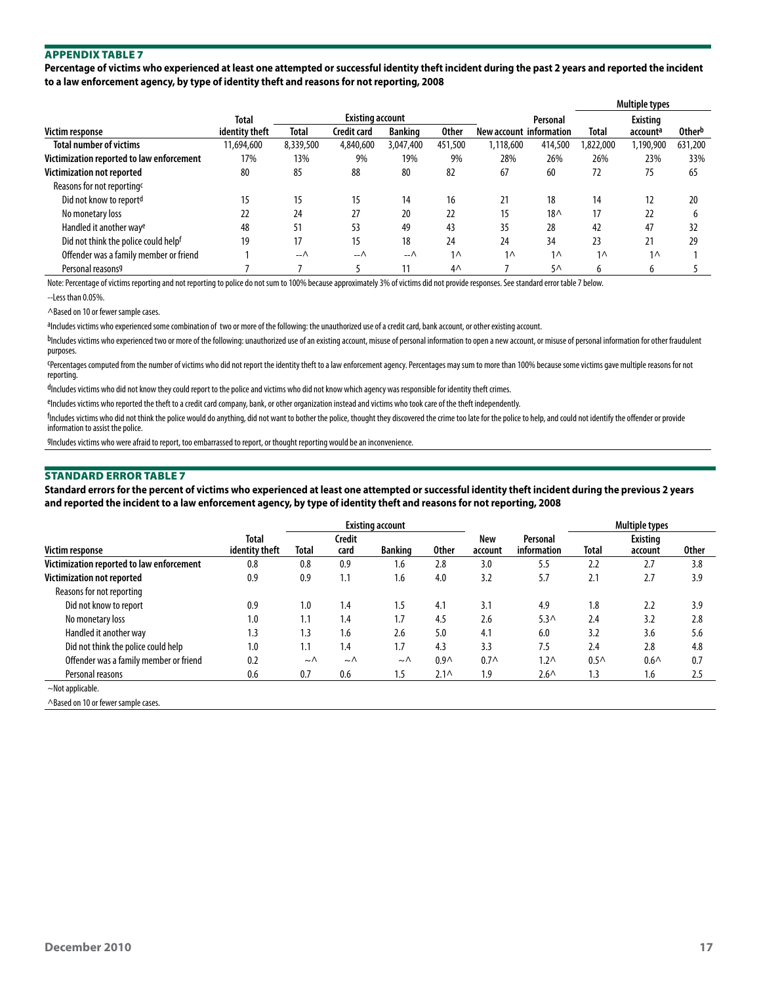**Percentage of victims who experienced at least one attempted or successful identity theft incident during the past 2 years and reported the incident to a law enforcement agency, by type of identity theft and reasons for not reporting, 2008**

|                                           |                |                             |                         |                                |                |                         |                | <b>Multiple types</b> |                 |                    |  |
|-------------------------------------------|----------------|-----------------------------|-------------------------|--------------------------------|----------------|-------------------------|----------------|-----------------------|-----------------|--------------------|--|
|                                           | Total          |                             | <b>Existing account</b> |                                |                |                         | Personal       |                       | <b>Existing</b> |                    |  |
| Victim response                           | identity theft | Credit card<br><b>Total</b> |                         | <b>Banking</b><br><b>Other</b> |                | New account information |                | Total                 | accounta        | Other <sup>b</sup> |  |
| <b>Total number of victims</b>            | 11,694,600     | 8,339,500                   | 4,840,600               | 3,047,400                      | 451,500        | 1,118,600               | 414,500        | 1,822,000             | 1,190,900       | 631,200            |  |
| Victimization reported to law enforcement | 17%            | 13%                         | 9%                      | 19%                            | 9%             | 28%                     | 26%            | 26%                   | 23%             | 33%                |  |
| Victimization not reported                | 80             | 85                          | 88                      | 80                             | 82             | 67                      | 60             | 72                    | 75              | 65                 |  |
| Reasons for not reporting <sup>c</sup>    |                |                             |                         |                                |                |                         |                |                       |                 |                    |  |
| Did not know to report <sup>d</sup>       | 15             | 15                          | 15                      | 14                             | 16             | 21                      | 18             | 14                    | 12              | 20                 |  |
| No monetary loss                          | 22             | 24                          | 27                      | 20                             | 22             | 15                      | $18\wedge$     | 17                    | 22              | h                  |  |
| Handled it another way <sup>e</sup>       | 48             | 51                          | 53                      | 49                             | 43             | 35                      | 28             | 42                    | 47              | 32                 |  |
| Did not think the police could helpf      | 19             | 17                          | 15                      | 18                             | 24             | 24                      | 34             | 23                    | 21              | 29                 |  |
| Offender was a family member or friend    |                | $ \wedge$                   | --∧                     | –−∧                            | $1^$           | $1^$                    | 1 <sub>0</sub> | 1 <sub>0</sub>        | 1 <sub>0</sub>  |                    |  |
| Personal reasons9                         |                |                             |                         |                                | 4 <sub>0</sub> |                         | $5^{\wedge}$   | b                     | b               |                    |  |

Note: Percentage of victims reporting and not reporting to police do not sum to 100% because approximately 3% of victims did not provide responses. See standard error table 7 below.

--Less than 0.05%.

^Based on 10 or fewer sample cases.

aIncludes victims who experienced some combination of two or more of the following: the unauthorized use of a credit card, bank account, or other existing account.

bIncludes victims who experienced two or more of the following: unauthorized use of an existing account, misuse of personal information to open a new account, or misuse of personal information for other fraudulent purposes.

cPercentages computed from the number of victims who did not report the identity theft to a law enforcement agency. Percentages may sum to more than 100% because some victims gave multiple reasons for not reporting.

dIncludes victims who did not know they could report to the police and victims who did not know which agency was responsible for identity theft crimes.

eIncludes victims who reported the theft to a credit card company, bank, or other organization instead and victims who took care of the theft independently.

f Includes victims who did not think the police would do anything, did not want to bother the police, thought they discovered the crime too late for the police to help, and could not identify the offender or provide information to assist the police.

gIncludes victims who were afraid to report, too embarrassed to report, or thought reporting would be an inconvenience.

#### Standard Error Table 7

**Standard errors for the percent of victims who experienced at least one attempted or successful identity theft incident during the previous 2 years and reported the incident to a law enforcement agency, by type of identity theft and reasons for not reporting, 2008**

|                                           |                         |                |                | <b>Existing account</b> |                  |                  | Multiple types          |                  |                            |              |
|-------------------------------------------|-------------------------|----------------|----------------|-------------------------|------------------|------------------|-------------------------|------------------|----------------------------|--------------|
| <b>Victim response</b>                    | Total<br>identity theft | Total          | Credit<br>card | <b>Banking</b>          |                  | New<br>account   | Personal<br>information | Total            | <b>Existing</b><br>account | <b>Other</b> |
| Victimization reported to law enforcement | 0.8                     | 0.8            | 0.9            | 1.6                     | 2.8              | 3.0              | 5.5                     | 2.2              | 2.7                        | 3.8          |
| Victimization not reported                | 0.9                     | 0.9            | 1.1            | 1.6                     | 4.0              | 3.2              | 5.7                     | 2.1              | 2.7                        | 3.9          |
| Reasons for not reporting                 |                         |                |                |                         |                  |                  |                         |                  |                            |              |
| Did not know to report                    | 0.9                     | 1.0            | 1.4            | 1.5                     | 4.1              | 3.1              | 4.9                     | 1.8              | 2.2                        | 3.9          |
| No monetary loss                          | 1.0                     | 1.1            | 1.4            | 1.7                     | 4.5              | 2.6              | $5.3^$                  | 2.4              | 3.2                        | 2.8          |
| Handled it another way                    | 1.3                     | 1.3            | 1.6            | 2.6                     | 5.0              | 4.1              | 6.0                     | 3.2              | 3.6                        | 5.6          |
| Did not think the police could help       | 1.0                     | 1.1            | 1.4            | 1.7                     | 4.3              | 3.3              | 7.5                     | 2.4              | 2.8                        | 4.8          |
| Offender was a family member or friend    | 0.2                     | $\sim$ $\land$ | $\sim \wedge$  | $\sim \wedge$           | 0.9 <sub>0</sub> | 0.7 <sub>0</sub> | $1.2\wedge$             | 0.5 <sub>0</sub> | 0.6 <sub>0</sub>           | 0.7          |
| Personal reasons                          | 0.6                     | 0.7            | 0.6            | 1.5                     | $2.1\wedge$      | 1.9              | $2.6^{\wedge}$          | 1.3              | 1.6                        | 2.5          |
| $\sim$ Not applicable.                    |                         |                |                |                         |                  |                  |                         |                  |                            |              |

^Based on 10 or fewer sample cases.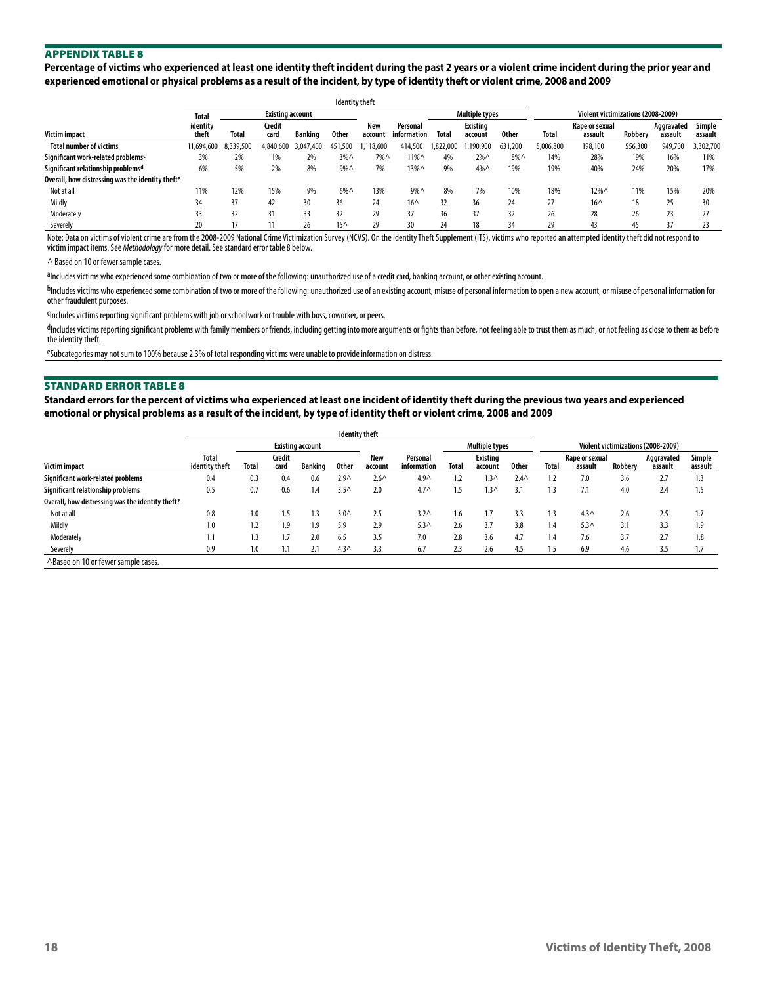**Percentage of victims who experienced at least one identity theft incident during the past 2 years or a violent crime incident during the prior year and experienced emotional or physical problems as a result of the incident, by type of identity theft or violent crime, 2008 and 2009**

|                                                  | Total             | <b>Existing account</b> |                |               |             |                | <b>Multiple types</b>   |           |                            | Violent victimizations (2008-2009) |              |                           |                |                       |                   |
|--------------------------------------------------|-------------------|-------------------------|----------------|---------------|-------------|----------------|-------------------------|-----------|----------------------------|------------------------------------|--------------|---------------------------|----------------|-----------------------|-------------------|
| <b>Victim impact</b>                             | identity<br>theft | Total                   | Credit<br>card | Banking       | 0ther       | New<br>account | Personal<br>information | Tota      | <b>Existing</b><br>account | <b>Other</b>                       | <b>Total</b> | Rape or sexual<br>assault | <b>Robberv</b> | Aggravated<br>assault | Simple<br>assault |
| <b>Total number of victims</b>                   | 11.694.600        | 8.339.500               | 1.840.600      | 3.047<br>.400 | 451.500     | .118.600       | 414.500                 | 1.822.000 | .190.900                   | 631.200                            | 5.006.800    | 198.100                   | 556.300        | 949.700               | 3,302,700         |
| Significant work-related problems <sup>c</sup>   | 3%                | 2%                      | 1%             | 2%            | $3% \wedge$ | 7%^            | 11%^                    | 4%        | $2%$ $\wedge$              | $8\%$                              | 14%          | 28%                       | 19%            | 16%                   | 11%               |
| Significant relationship problems <sup>d</sup>   | 6%                | 5%                      | 2%             | 8%            | $9\%$       | 7%             | 13%^                    | 9%        | $4\%$ $\wedge$             | 19%                                | 19%          | 40%                       | 24%            | 20%                   | 17%               |
| Overall, how distressing was the identity thefte |                   |                         |                |               |             |                |                         |           |                            |                                    |              |                           |                |                       |                   |
| Not at all                                       | 11%               | 12%                     | 15%            | 9%            | $6\%$       | 13%            | 9%                      | 8%        | 7%                         | 10%                                | 18%          | 12%^                      | 11%            | 15%                   | 20%               |
| Mildly                                           | 34                | 37                      | 42             | 30            | 36          | 24             | $16^$                   | 32        | 36                         | 24                                 | 27           | $16^$                     | 18             |                       | 30                |
| Moderately                                       | 33                | 32                      | 31             | 33            | 32          | 29             | 37                      | 36        | 37                         | 32                                 | 26           | 28                        | 26             |                       | 27                |
| Severely                                         |                   |                         |                | 26            | $15^$       | 29             | 30                      | 24        | 18                         | 34                                 | 29           | 43                        |                |                       | 23                |

Note: Data on victims of violent crime are from the 2008-2009 National Crime Victimization Survey (NCVS). On the Identity Theft Supplement (ITS), victims who reported an attempted identity theft did not respond to victim impact items. See *Methodology* for more detail. See standard error table 8 below.

^ Based on 10 or fewer sample cases.

aIncludes victims who experienced some combination of two or more of the following: unauthorized use of a credit card, banking account, or other existing account.

bIncludes victims who experienced some combination of two or more of the following: unauthorized use of an existing account, misuse of personal information to open a new account, or misuse of personal information for other fraudulent purposes.

cIncludes victims reporting significant problems with job or schoolwork or trouble with boss, coworker, or peers.

dIncludes victims reporting significant problems with family members or friends, including getting into more arguments or fights than before, not feeling able to trust them as much, or not feeling as close to them as befor the identity theft.

eSubcategories may not sum to 100% because 2.3% of total responding victims were unable to provide information on distress.

#### Standard Error Table 8

**Standard errors for the percent of victims who experienced at least one incident of identity theft during the previous two years and experienced emotional or physical problems as a result of the incident, by type of identity theft or violent crime, 2008 and 2009**

|                                                  | <b>Identity theft</b>   |       |                |                |                  |                |                         |              |                            |              |                                    |                           |         |                       |                   |  |
|--------------------------------------------------|-------------------------|-------|----------------|----------------|------------------|----------------|-------------------------|--------------|----------------------------|--------------|------------------------------------|---------------------------|---------|-----------------------|-------------------|--|
|                                                  | <b>Existing account</b> |       |                |                |                  |                |                         |              | Multiple types             |              | Violent victimizations (2008-2009) |                           |         |                       |                   |  |
| Victim impact                                    | Total<br>identity theft | Total | Credit<br>card | <b>Banking</b> | <b>Other</b>     | New<br>account | Personal<br>information | <b>Total</b> | <b>Existing</b><br>account | <b>Other</b> | <b>Total</b>                       | Rape or sexual<br>assault | Robberv | Aggravated<br>assault | Simple<br>assault |  |
| Significant work-related problems                | 0.4                     | 0.3   | 0.4            | 0.6            | 2.9 <sub>0</sub> | $2.6^{\wedge}$ | $4.9^$                  |              | $1.3\wedge$                | $2.4^$       | 1.2                                | 7.0                       | 3.6     | 2.7                   | 1.3               |  |
| Significant relationship problems                | 0.5                     | 0.7   | 0.6            | I.4            | 3.5 <sub>0</sub> | 2.0            | $4.7^$                  | 1.5          | $1.3\wedge$                | 3.1          | 1.3                                | 7.1                       | 4.0     | 2.4                   | 1.5               |  |
| Overall, how distressing was the identity theft? |                         |       |                |                |                  |                |                         |              |                            |              |                                    |                           |         |                       |                   |  |
| Not at all                                       | 0.8                     | 1.0   | .5             | .3             | 3.0 <sub>0</sub> | 2.5            | 3.2 <sub>0</sub>        | 1.6          |                            | 3.3          | 1.3                                | 4.3 <sub>0</sub>          | 2.6     | 2.5                   | 1.7               |  |
| Mildly                                           | 1.0                     | 1.2   | 1.9            | 1.9            | 5.9              | 2.9            | 5.3 <sub>0</sub>        | 2.6          | 3.7                        | 3.8          | 1.4                                | 5.3 <sub>0</sub>          | 3.1     | 3.3                   | 1.9               |  |
| Moderately                                       | 1.1                     | 1.3   |                | 2.0            | 6.5              | 3.5            | 7.0                     | 2.8          | 3.6                        | 4.7          | 1.4                                | 7.6                       | 3.7     | 2.7                   | 1.8               |  |
| Severely                                         | 0.9                     | 1.0   |                | 2.1            | 4.3 <sub>0</sub> | 3.3            | 6.7                     | 2.3          | 2.6                        | 4.5          | 1.5                                | 6.9                       | 4.6     | 3.5                   | 1.7               |  |
| ^Based on 10 or fewer sample cases.              |                         |       |                |                |                  |                |                         |              |                            |              |                                    |                           |         |                       |                   |  |